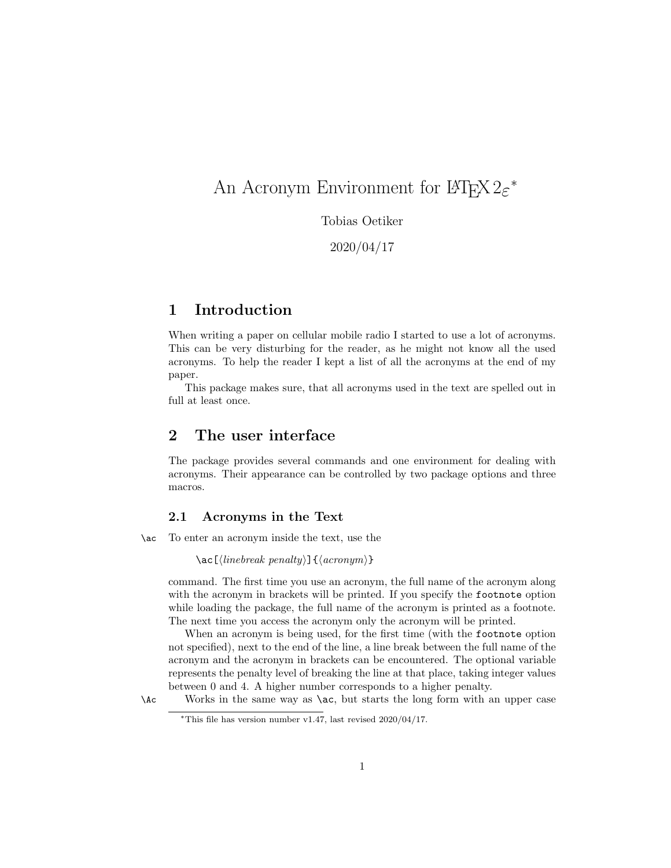# An Acronym Environment for  $\mathbb{F}\mathrm{H}\mathrm{F}\mathrm{X}\,2\varepsilon^*$

Tobias Oetiker

2020/04/17

# 1 Introduction

When writing a paper on cellular mobile radio I started to use a lot of acronyms. This can be very disturbing for the reader, as he might not know all the used acronyms. To help the reader I kept a list of all the acronyms at the end of my paper.

This package makes sure, that all acronyms used in the text are spelled out in full at least once.

# 2 The user interface

The package provides several commands and one environment for dealing with acronyms. Their appearance can be controlled by two package options and three macros.

### 2.1 Acronyms in the Text

\ac To enter an acronym inside the text, use the

 $\langle \cosh(\theta) \rangle$  \ac $[\langle \sin \theta \rangle]$  { $\langle \arcsin(\theta) \rangle$ }

command. The first time you use an acronym, the full name of the acronym along with the acronym in brackets will be printed. If you specify the footnote option while loading the package, the full name of the acronym is printed as a footnote. The next time you access the acronym only the acronym will be printed.

When an acronym is being used, for the first time (with the footnote option not specified), next to the end of the line, a line break between the full name of the acronym and the acronym in brackets can be encountered. The optional variable represents the penalty level of breaking the line at that place, taking integer values between 0 and 4. A higher number corresponds to a higher penalty.

<sup>\</sup>Ac Works in the same way as \ac, but starts the long form with an upper case

<sup>∗</sup>This file has version number v1.47, last revised 2020/04/17.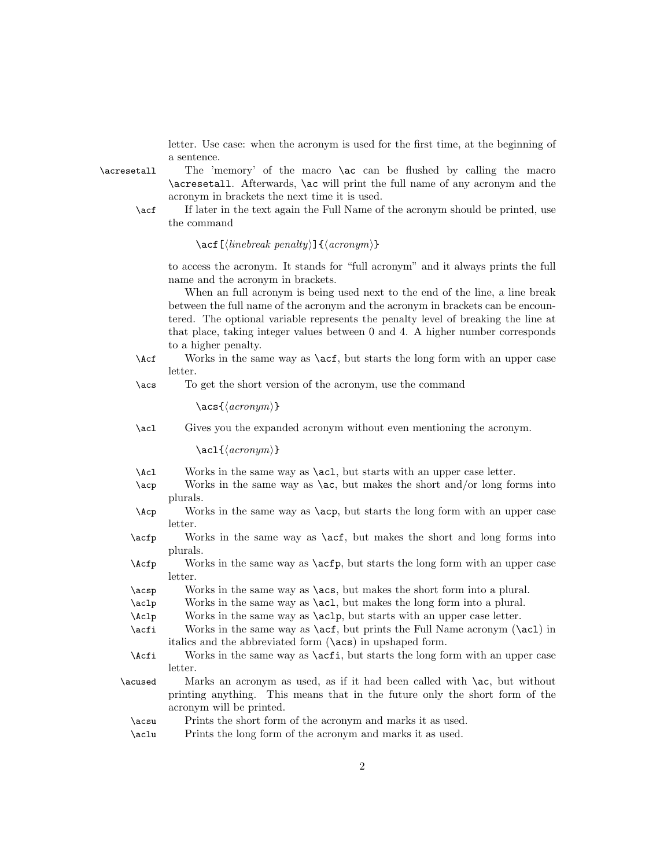letter. Use case: when the acronym is used for the first time, at the beginning of a sentence.

\acresetall The 'memory' of the macro \ac can be flushed by calling the macro \acresetall. Afterwards, \ac will print the full name of any acronym and the acronym in brackets the next time it is used.

\acf If later in the text again the Full Name of the acronym should be printed, use the command

#### \acf [ $\langle linebreak penalty \rangle$ ] { $\langle acronym \rangle$ }

to access the acronym. It stands for "full acronym" and it always prints the full name and the acronym in brackets.

When an full acronym is being used next to the end of the line, a line break between the full name of the acronym and the acronym in brackets can be encountered. The optional variable represents the penalty level of breaking the line at that place, taking integer values between 0 and 4. A higher number corresponds to a higher penalty.

\Acf Works in the same way as \acf, but starts the long form with an upper case letter.

\acs To get the short version of the acronym, use the command

 $\text{ascs}\{\langle \text{acronum}\rangle\}$ 

\acl Gives you the expanded acronym without even mentioning the acronym.

 $\langle \text{ac1} \{ \langle \text{acronym} \rangle \}$ 

- \Acl Works in the same way as \acl, but starts with an upper case letter.
- \acp Works in the same way as \ac, but makes the short and/or long forms into plurals.
- \Acp Works in the same way as \acp, but starts the long form with an upper case letter.
- \acfp Works in the same way as \acf, but makes the short and long forms into plurals.
- \Acfp Works in the same way as \acfp, but starts the long form with an upper case letter.
- \acsp Works in the same way as \acs, but makes the short form into a plural.
- \aclp Works in the same way as \acl, but makes the long form into a plural.
- \Aclp Works in the same way as \aclp, but starts with an upper case letter.
- \acfi Works in the same way as \acf, but prints the Full Name acronym (\acl) in italics and the abbreviated form (\acs) in upshaped form.
- \Acfi Works in the same way as \acfi, but starts the long form with an upper case **letter**
- \acused Marks an acronym as used, as if it had been called with \ac, but without printing anything. This means that in the future only the short form of the acronym will be printed.
	- \acsu Prints the short form of the acronym and marks it as used.
	- \aclu Prints the long form of the acronym and marks it as used.

2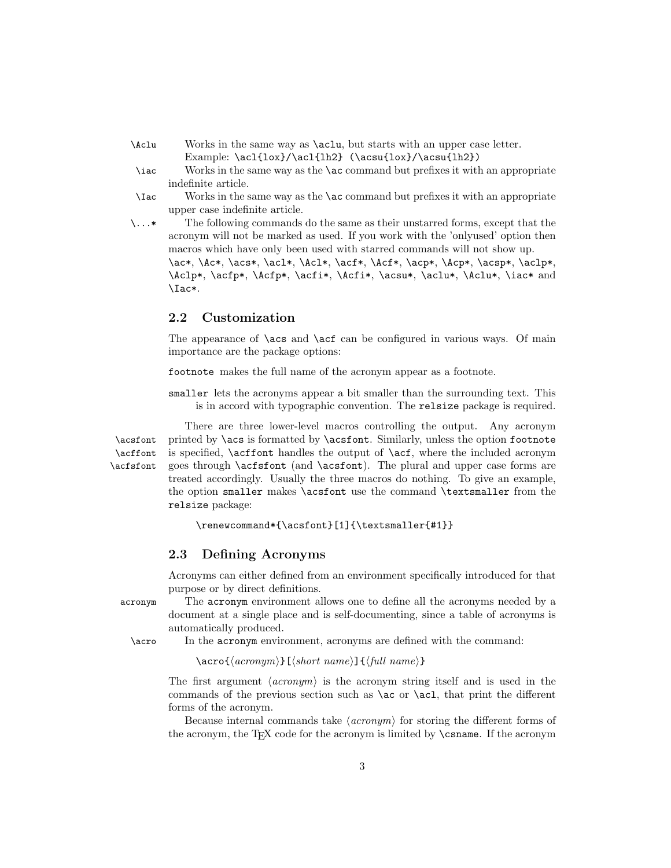- \Aclu Works in the same way as \aclu, but starts with an upper case letter. Example: \acl{lox}/\acl{lh2} (\acsu{lox}/\acsu{lh2})
- \iac Works in the same way as the \ac command but prefixes it with an appropriate indefinite article.
- \Iac Works in the same way as the \ac command but prefixes it with an appropriate upper case indefinite article.
- \...\* The following commands do the same as their unstarred forms, except that the acronym will not be marked as used. If you work with the 'onlyused' option then macros which have only been used with starred commands will not show up. \ac\*, \Ac\*, \acs\*, \acl\*, \Acl\*, \acf\*, \Acf\*, \acp\*, \Acp\*, \acsp\*, \aclp\*, \Aclp\*, \acfp\*, \Acfp\*, \acfi\*, \Acfi\*, \acsu\*, \aclu\*, \Aclu\*, \iac\* and \Iac\*.

## 2.2 Customization

The appearance of  $\a$ cs and  $\a$ cf can be configured in various ways. Of main importance are the package options:

footnote makes the full name of the acronym appear as a footnote.

smaller lets the acronyms appear a bit smaller than the surrounding text. This is in accord with typographic convention. The relsize package is required.

There are three lower-level macros controlling the output. Any acronym \acsfont printed by \acs is formatted by \acsfont. Similarly, unless the option footnote \acffont is specified, \acffont handles the output of \acf, where the included acronym \acfsfont goes through \acfsfont (and \acsfont). The plural and upper case forms are treated accordingly. Usually the three macros do nothing. To give an example, the option smaller makes \acsfont use the command \textsmaller from the relsize package:

```
\renewcommand*{\acsfont}[1]{\textsmaller{#1}}
```
# 2.3 Defining Acronyms

Acronyms can either defined from an environment specifically introduced for that purpose or by direct definitions.

acronym The acronym environment allows one to define all the acronyms needed by a document at a single place and is self-documenting, since a table of acronyms is automatically produced.

\acro In the acronym environment, acronyms are defined with the command:

 $\text{acro}\{\langle \text{acronym} \rangle\}$ [ $\langle \text{short name} \rangle$ ] $\{\langle \text{full name} \rangle\}$ 

The first argument  $\langle \text{acromym} \rangle$  is the acronym string itself and is used in the commands of the previous section such as \ac or \acl, that print the different forms of the acronym.

Because internal commands take  $\langle \text{acronym} \rangle$  for storing the different forms of the acronym, the T<sub>E</sub>X code for the acronym is limited by **\csname**. If the acronym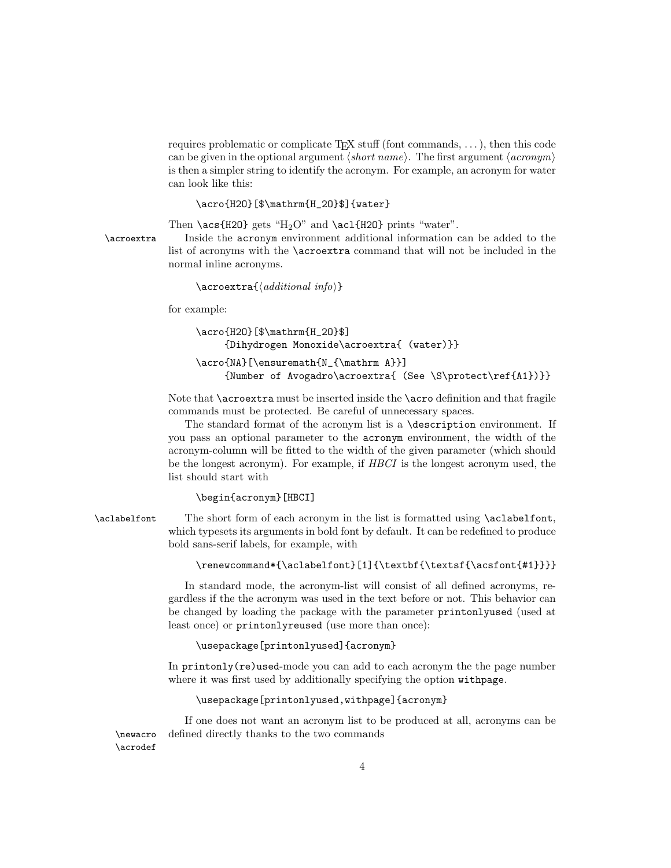requires problematic or complicate T<sub>E</sub>X stuff (font commands,  $\dots$ ), then this code can be given in the optional argument  $\langle short\ name \rangle$ . The first argument  $\langle acronym \rangle$ is then a simpler string to identify the acronym. For example, an acronym for water can look like this:

```
\acro{H2O}[$\mathrm{H_2O}$]{water}
```
Then \acs{H2O} gets "H<sub>2</sub>O" and \ac1{H2O} prints "water".

\acroextra Inside the acronym environment additional information can be added to the list of acronyms with the \acroextra command that will not be included in the normal inline acronyms.

```
\arccos{d}{\ddot{t}ional~info}
```
for example:

```
\acro{H2O}[$\mathrm{H_2O}$]
     {Dihydrogen Monoxide\acroextra{ (water)}}
\acro{NA}[\ensuremath{N_{\mathrm A}}]
     {Number of Avogadro\acroextra{ (See \S\protect\ref{A1})}}
```
Note that \acroextra must be inserted inside the \acro definition and that fragile commands must be protected. Be careful of unnecessary spaces.

The standard format of the acronym list is a \description environment. If you pass an optional parameter to the acronym environment, the width of the acronym-column will be fitted to the width of the given parameter (which should be the longest acronym). For example, if HBCI is the longest acronym used, the list should start with

#### \begin{acronym}[HBCI]

\aclabelfont The short form of each acronym in the list is formatted using \aclabelfont, which typesets its arguments in bold font by default. It can be redefined to produce bold sans-serif labels, for example, with

```
\renewcommand*{\aclabelfont}[1]{\textbf{\textsf{\acsfont{#1}}}}
```
In standard mode, the acronym-list will consist of all defined acronyms, regardless if the the acronym was used in the text before or not. This behavior can be changed by loading the package with the parameter printonlyused (used at least once) or printonlyreused (use more than once):

\usepackage[printonlyused]{acronym}

In printonly(re)used-mode you can add to each acronym the the page number where it was first used by additionally specifying the option withpage.

\usepackage[printonlyused,withpage]{acronym}

If one does not want an acronym list to be produced at all, acronyms can be \newacro defined directly thanks to the two commands

\acrodef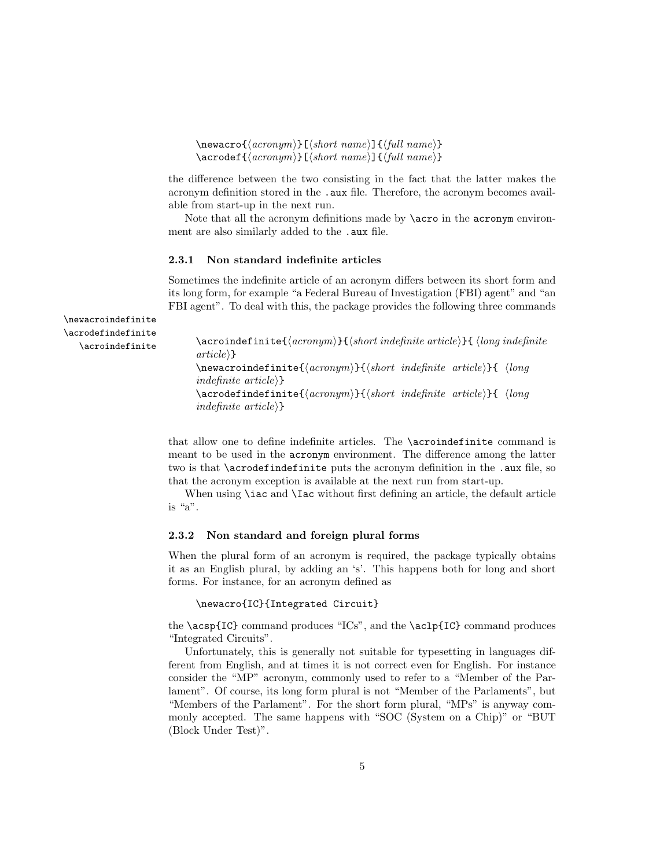$\newarrow{\langle acronym \rangle}[\langle short \ name \rangle]{\{full \ name}}$  $\text{accept}\{arrows\}$ [ $\short name$ ] $\{full name\}$ ]

the difference between the two consisting in the fact that the latter makes the acronym definition stored in the .aux file. Therefore, the acronym becomes available from start-up in the next run.

Note that all the acronym definitions made by **\acro** in the **acronym** environment are also similarly added to the .aux file.

### 2.3.1 Non standard indefinite articles

Sometimes the indefinite article of an acronym differs between its short form and its long form, for example "a Federal Bureau of Investigation (FBI) agent" and "an FBI agent". To deal with this, the package provides the following three commands

\newacroindefinite \acrodefindefinite

```
\acroindefinite \arcsin{\text{arcsim}}{\mathcal{H} \acroindefinite \arccos{\text{arcsim}}article}
                     \newarrow{\hbox{new}{}indefinite article\rangle}
                     \text{acrodefindefinite}\{\langle acronym\rangle\}\{\langle short\\\\\} (long
                     indefinite article\rangle}
```
that allow one to define indefinite articles. The \acroindefinite command is meant to be used in the acronym environment. The difference among the latter two is that **\acrodefindefinite** puts the acronym definition in the .aux file, so that the acronym exception is available at the next run from start-up.

When using **\iac** and **\Iac** without first defining an article, the default article is "a".

### 2.3.2 Non standard and foreign plural forms

When the plural form of an acronym is required, the package typically obtains it as an English plural, by adding an 's'. This happens both for long and short forms. For instance, for an acronym defined as

```
\newacro{IC}{Integrated Circuit}
```
the \acsp{IC} command produces "ICs", and the \aclp{IC} command produces "Integrated Circuits".

Unfortunately, this is generally not suitable for typesetting in languages different from English, and at times it is not correct even for English. For instance consider the "MP" acronym, commonly used to refer to a "Member of the Parlament". Of course, its long form plural is not "Member of the Parlaments", but "Members of the Parlament". For the short form plural, "MPs" is anyway commonly accepted. The same happens with "SOC (System on a Chip)" or "BUT (Block Under Test)".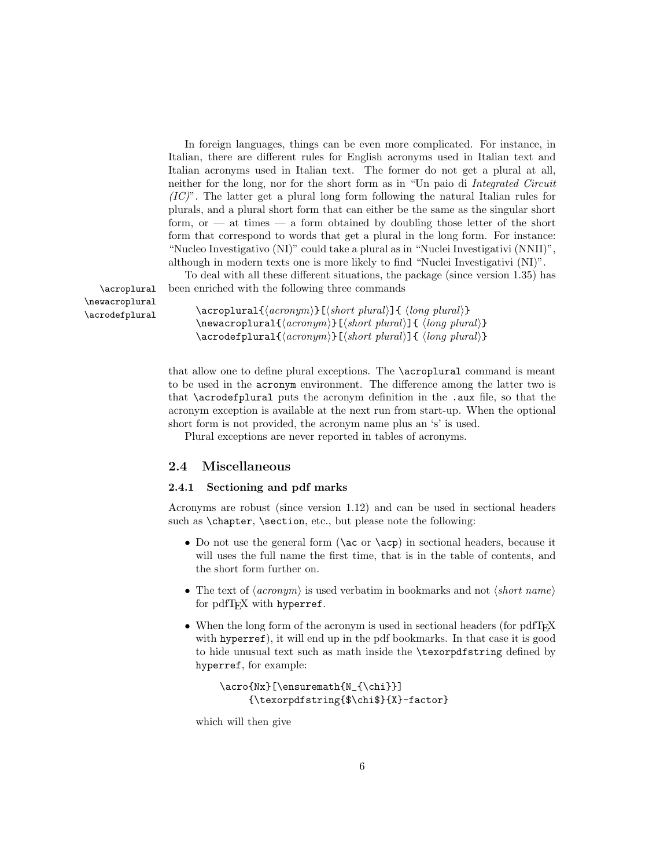In foreign languages, things can be even more complicated. For instance, in Italian, there are different rules for English acronyms used in Italian text and Italian acronyms used in Italian text. The former do not get a plural at all, neither for the long, nor for the short form as in "Un paio di Integrated Circuit  $(IC)$ ". The latter get a plural long form following the natural Italian rules for plurals, and a plural short form that can either be the same as the singular short form, or  $-$  at times  $-$  a form obtained by doubling those letter of the short form that correspond to words that get a plural in the long form. For instance: "Nucleo Investigativo (NI)" could take a plural as in "Nuclei Investigativi (NNII)", although in modern texts one is more likely to find "Nuclei Investigativi (NI)".

To deal with all these different situations, the package (since version 1.35) has \acroplural been enriched with the following three commands

\newacroplural

\acroplural{\acronym\}[\\short plural}]{ \long plural\}  $\text{Newacroplural}({\text{acromym}}[s]$  (short plural)]{  $\langle \text{long plural} \rangle$ ]  $\text{arodefplural}(\text{acronym})[(\text{short plural})]$ {  $\langle \text{long plural} \rangle$ }

> that allow one to define plural exceptions. The \acroplural command is meant to be used in the acronym environment. The difference among the latter two is that \acrodefplural puts the acronym definition in the .aux file, so that the acronym exception is available at the next run from start-up. When the optional short form is not provided, the acronym name plus an 's' is used.

Plural exceptions are never reported in tables of acronyms.

# 2.4 Miscellaneous

### 2.4.1 Sectioning and pdf marks

Acronyms are robust (since version 1.12) and can be used in sectional headers such as \chapter, \section, etc., but please note the following:

- Do not use the general form (\ac or \acp) in sectional headers, because it will uses the full name the first time, that is in the table of contents, and the short form further on.
- The text of  $\langle \textit{acronym} \rangle$  is used verbatim in bookmarks and not  $\langle \textit{short name} \rangle$ for pdfT<sub>E</sub>X with hyperref.
- When the long form of the acronym is used in sectional headers (for pdfT<sub>E</sub>X with hyperref), it will end up in the pdf bookmarks. In that case it is good to hide unusual text such as math inside the \texorpdfstring defined by hyperref, for example:

```
\acro{Nx}[\ensuremath{N_{\chi}}]
     {\texorpdfstring{$\chi$}{X}-factor}
```
which will then give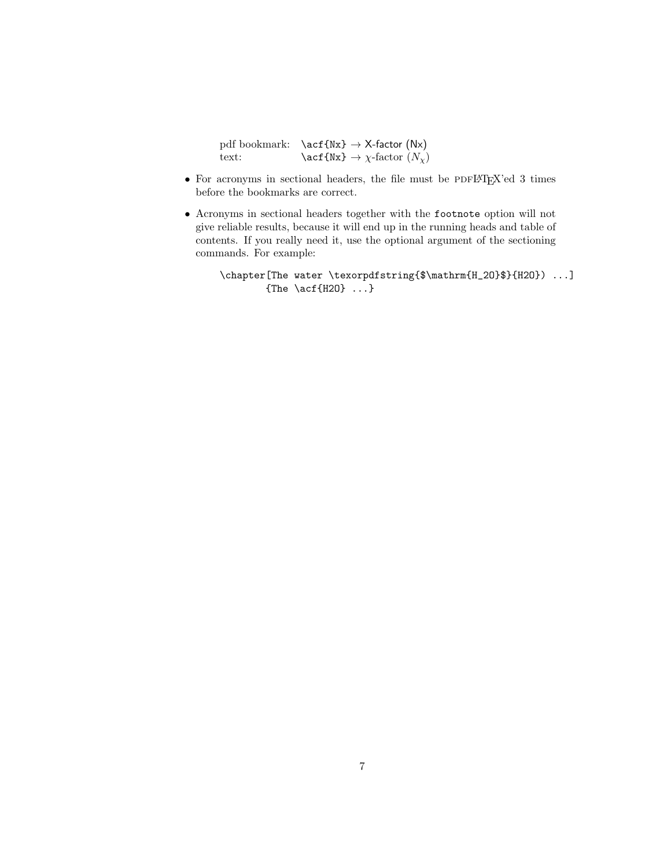|       | pdf bookmark: $\setminus \text{Nx} \rightarrow X\text{-factor (Nx)}$ |
|-------|----------------------------------------------------------------------|
| text: | $\text{Aut}\{Nx\} \to \chi\text{-factor } (N_\chi)$                  |

- $\bullet$  For acronyms in sectional headers, the file must be PDFLATEX'ed 3 times before the bookmarks are correct.
- Acronyms in sectional headers together with the footnote option will not give reliable results, because it will end up in the running heads and table of contents. If you really need it, use the optional argument of the sectioning commands. For example:

\chapter[The water \texorpdfstring{\$\mathrm{H\_2O}\$}{H2O}) ...] {The \acf{H2O} ...}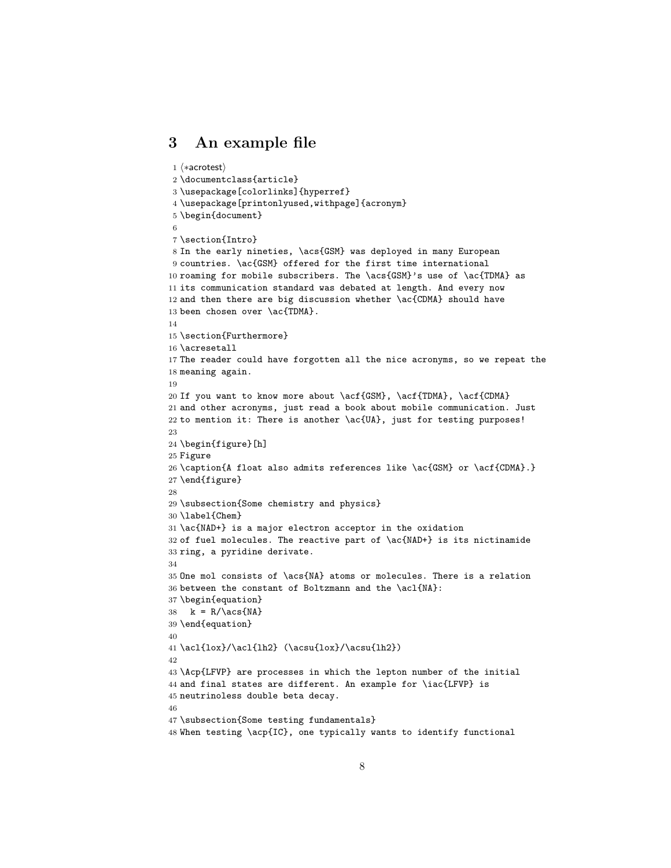# 3 An example file

```
1 \langle *acrotest \rangle2 \documentclass{article}
3 \usepackage[colorlinks]{hyperref}
4 \usepackage[printonlyused,withpage]{acronym}
5 \begin{document}
6
7 \section{Intro}
8 In the early nineties, \acs{GSM} was deployed in many European
9 countries. \ac{GSM} offered for the first time international
10 roaming for mobile subscribers. The \acs{GSM}'s use of \ac{TDMA} as
11 its communication standard was debated at length. And every now
12 and then there are big discussion whether \ac{CDMA} should have
13 been chosen over \ac{TDMA}.
14
15 \section{Furthermore}
16 \acresetall
17 The reader could have forgotten all the nice acronyms, so we repeat the
18 meaning again.
19
20 If you want to know more about \acf{GSM}, \acf{TDMA}, \acf{CDMA}
21 and other acronyms, just read a book about mobile communication. Just
22 to mention it: There is another \ac{UA}, just for testing purposes!
23
24 \begin{figure}[h]
25 Figure
26 \caption{A float also admits references like \ac{GSM} or \acf{CDMA}.}
27 \end{figure}
28
29 \subsection{Some chemistry and physics}
30 \label{Chem}
31 \ac{NAD+} is a major electron acceptor in the oxidation
32 of fuel molecules. The reactive part of \ac{NAD+} is its nictinamide
33 ring, a pyridine derivate.
34
35 One mol consists of \acs{NA} atoms or molecules. There is a relation
36 between the constant of Boltzmann and the \acl{NA}:
37 \begin{equation}
38 k = R/\acs{NA}
39 \end{equation}
40
41 \acl{lox}/\acl{lh2} (\acsu{lox}/\acsu{lh2})
42
43 \Acp{LFVP} are processes in which the lepton number of the initial
44 and final states are different. An example for \iac{LFVP} is
45 neutrinoless double beta decay.
46
47 \subsection{Some testing fundamentals}
48 When testing \acp{IC}, one typically wants to identify functional
```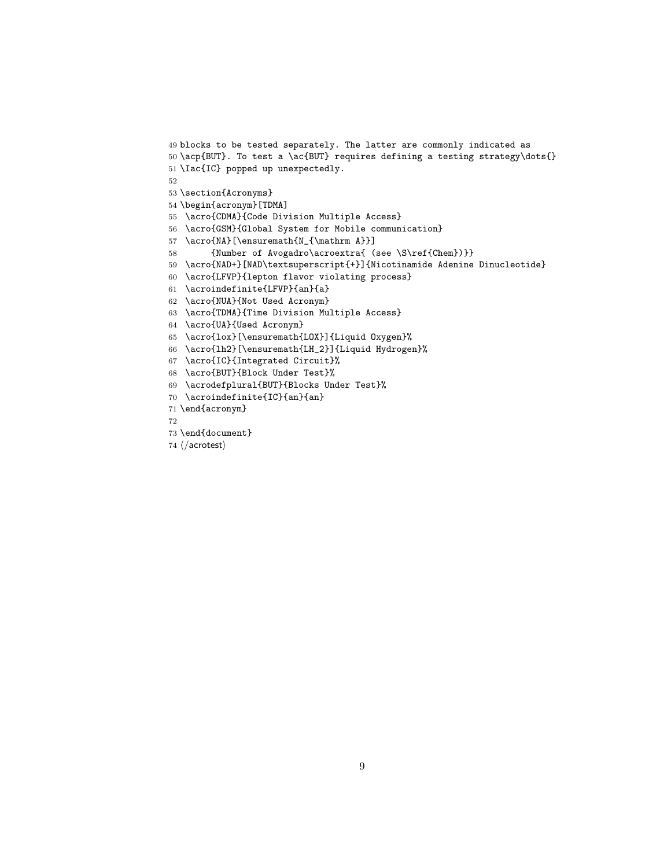```
49 blocks to be tested separately. The latter are commonly indicated as
50 \acp{BUT}. To test a \ac{BUT} requires defining a testing strategy\dots{}
51 \Iac{IC} popped up unexpectedly.
52
53 \section{Acronyms}
54 \begin{acronym}[TDMA]
55 \acro{CDMA}{Code Division Multiple Access}
56 \acro{GSM}{Global System for Mobile communication}
57 \acro{NA}[\ensuremath{N_{\mathrm A}}]
58 {Number of Avogadro\acroextra{ (see \S\ref{Chem})}}
59 \acro{NAD+}[NAD\textsuperscript{+}]{Nicotinamide Adenine Dinucleotide}
60 \acro{LFVP}{lepton flavor violating process}
61 \acroindefinite{LFVP}{an}{a}
62 \acro{NUA}{Not Used Acronym}
63 \acro{TDMA}{Time Division Multiple Access}
64 \acro{UA}{Used Acronym}
65 \acro{lox}[\ensuremath{LOX}]{Liquid Oxygen}%
66 \acro{lh2}[\ensuremath{LH_2}]{Liquid Hydrogen}%
67 \acro{IC}{Integrated Circuit}%
68 \acro{BUT}{Block Under Test}%
69 \acrodefplural{BUT}{Blocks Under Test}%
70 \acroindefinite{IC}{an}{an}
71 \end{acronym}
```

```
73 \end{document}
```

```
74 \langle/acrotest\rangle
```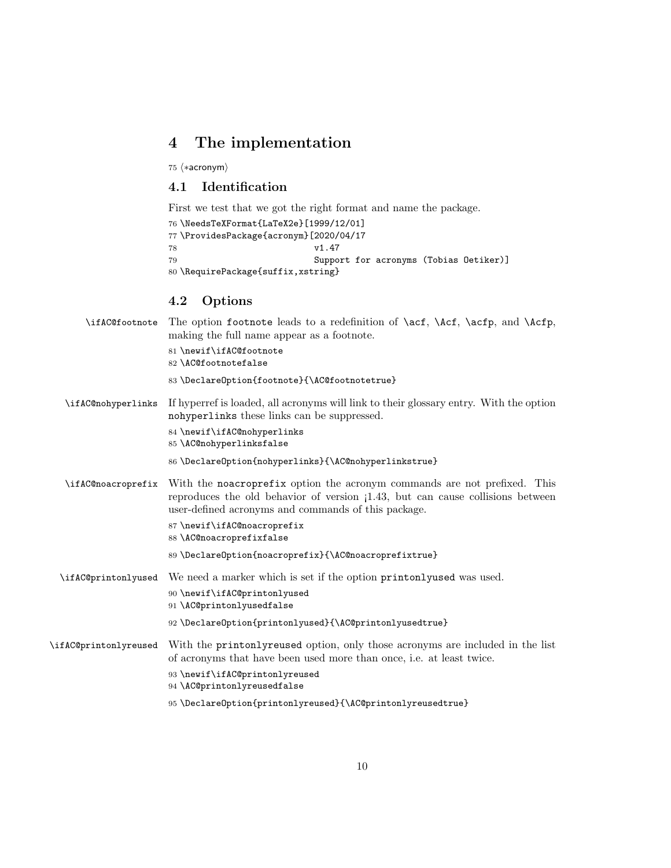# 4 The implementation

75  $\langle *acronym \rangle$ 

# 4.1 Identification

First we test that we got the right format and name the package.

```
76 \NeedsTeXFormat{LaTeX2e}[1999/12/01]
77 \ProvidesPackage{acronym}[2020/04/17<br>78 v1.47v1.47
79 Support for acronyms (Tobias Oetiker)]
80 \RequirePackage{suffix,xstring}
```
# 4.2 Options

|                       | \ifAC@footnote The option footnote leads to a redefinition of \acf, \Acf, \acfp, and \Acfp,<br>making the full name appear as a footnote.<br>81 \newif\ifAC@footnote<br>82 \AC@footnotefalse                                                                                             |
|-----------------------|------------------------------------------------------------------------------------------------------------------------------------------------------------------------------------------------------------------------------------------------------------------------------------------|
|                       | 83 \Declare0ption{footnote}{\AC@footnotetrue}                                                                                                                                                                                                                                            |
| \ifAC@nohyperlinks    | If hyperref is loaded, all acronyms will link to their glossary entry. With the option<br>nohyperlinks these links can be suppressed.                                                                                                                                                    |
|                       | 84 \newif\ifAC@nohyperlinks<br>85 \AC@nohyperlinksfalse                                                                                                                                                                                                                                  |
|                       | 86\DeclareOption{nohyperlinks}{\AC@nohyperlinkstrue}                                                                                                                                                                                                                                     |
| \ifAC@noacroprefix    | With the noncroprefix option the acronym commands are not prefixed. This<br>reproduces the old behavior of version (1.43, but can cause collisions between<br>user-defined acronyms and commands of this package.                                                                        |
|                       | 87\newif\ifAC@noacroprefix<br>88 \AC@noacroprefixfalse                                                                                                                                                                                                                                   |
|                       | 89 \DeclareOption{noacroprefix}{\AC@noacroprefixtrue}                                                                                                                                                                                                                                    |
| \ifAC@printonlyused   | We need a marker which is set if the option printonly used was used.<br>90 \newif\ifAC@printonlyused<br>91 \AC@printonlyusedfalse                                                                                                                                                        |
|                       | 92 \Declare0ption{printonlyused}{\AC@printonlyusedtrue}                                                                                                                                                                                                                                  |
| \ifAC@printonlyreused | With the printinuity reused option, only those acronyms are included in the list<br>of acronyms that have been used more than once, i.e. at least twice.<br>93 \newif\ifAC@printonlyreused<br>94 \AC@printonlyreusedfalse<br>95 \DeclareOption{printonlyreused}{\AC@printonlyreusedtrue} |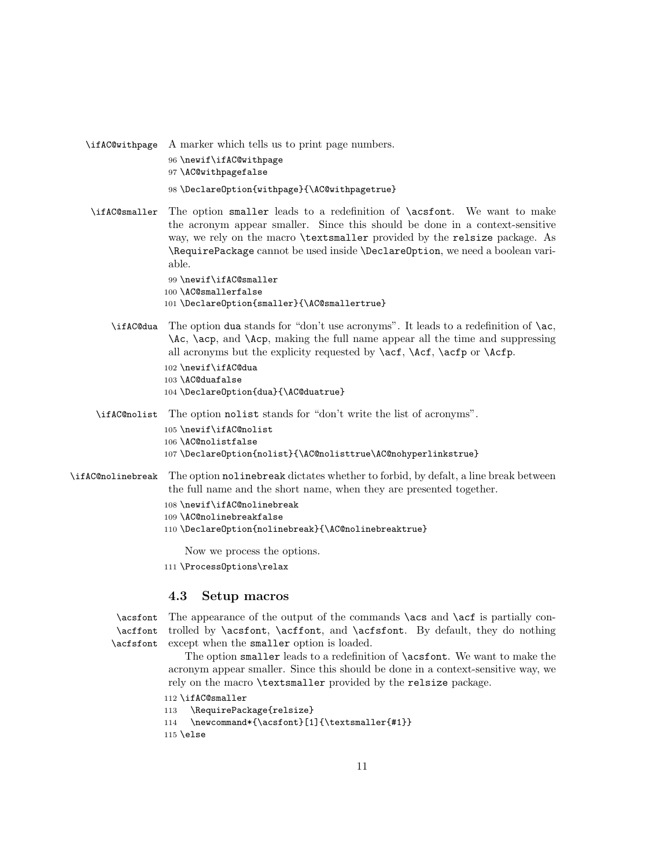\ifAC@withpage A marker which tells us to print page numbers. \newif\ifAC@withpage \AC@withpagefalse \DeclareOption{withpage}{\AC@withpagetrue}

\ifAC@smaller The option smaller leads to a redefinition of \acsfont. We want to make the acronym appear smaller. Since this should be done in a context-sensitive way, we rely on the macro \textsmaller provided by the relsize package. As \RequirePackage cannot be used inside \DeclareOption, we need a boolean variable.

> 99 \newif\ifAC@smaller 100 \AC@smallerfalse 101 \DeclareOption{smaller}{\AC@smallertrue}

\ifAC@dua The option dua stands for "don't use acronyms". It leads to a redefinition of \ac, \Ac, \acp, and \Acp, making the full name appear all the time and suppressing all acronyms but the explicity requested by  $\act$ ,  $\Act$ ,  $\actp$  or  $\Actp$ .

```
102 \newif\ifAC@dua
103 \AC@duafalse
104 \DeclareOption{dua}{\AC@duatrue}
```
\ifAC@nolist The option nolist stands for "don't write the list of acronyms".

105 \newif\ifAC@nolist 106 \AC@nolistfalse 107 \DeclareOption{nolist}{\AC@nolisttrue\AC@nohyperlinkstrue}

- \ifAC@nolinebreak The option nolinebreak dictates whether to forbid, by defalt, a line break between the full name and the short name, when they are presented together.
	- 108 \newif\ifAC@nolinebreak
	- 109 \AC@nolinebreakfalse
	- 110 \DeclareOption{nolinebreak}{\AC@nolinebreaktrue}

Now we process the options.

111 \ProcessOptions\relax

### 4.3 Setup macros

\acsfont The appearance of the output of the commands \acs and \acf is partially con-\acffont trolled by \acsfont, \acffont, and \acfsfont. By default, they do nothing \acfsfont except when the smaller option is loaded.

> The option smaller leads to a redefinition of \acsfont. We want to make the acronym appear smaller. Since this should be done in a context-sensitive way, we rely on the macro \textsmaller provided by the relsize package.

112 \ifAC@smaller

```
113 \RequirePackage{relsize}
```

```
114 \newcommand*{\acsfont}[1]{\textsmaller{#1}}
```
115 \else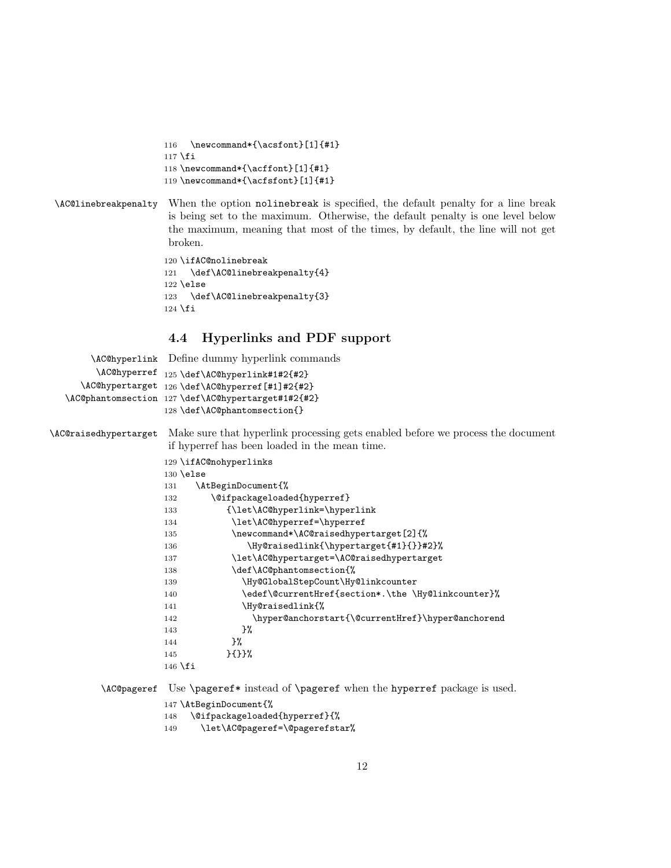116 \newcommand\*{\acsfont}[1]{#1} \fi \newcommand\*{\acffont}[1]{#1} \newcommand\*{\acfsfont}[1]{#1}

# \AC@linebreakpenalty When the option nolinebreak is specified, the default penalty for a line break is being set to the maximum. Otherwise, the default penalty is one level below the maximum, meaning that most of the times, by default, the line will not get broken.

 \ifAC@nolinebreak 121 \def\AC@linebreakpenalty{4} \else 123 \def\AC@linebreakpenalty{3} 124 \fi

# 4.4 Hyperlinks and PDF support

|                       | \AC@hyperlink Define dummy hyperlink commands                                   |
|-----------------------|---------------------------------------------------------------------------------|
|                       | \AC@hyperref 125 \def\AC@hyperlink#1#2{#2}                                      |
|                       | \AC@hypertarget 126 \def\AC@hyperref[#1]#2{#2}                                  |
|                       | \AC@phantomsection 127 \def\AC@hypertarget#1#2{#2}                              |
|                       | 128 \def\AC@phantomsection{}                                                    |
| \AC@raisedhypertarget | Make sure that hyperlink processing gets enabled before we process the document |
|                       | if hyperref has been loaded in the mean time.                                   |
|                       | 129 \ifAC@nohyperlinks                                                          |
|                       | $130$ \else                                                                     |
|                       | \AtBeginDocument{%<br>131                                                       |
|                       | \@ifpackageloaded{hyperref}<br>132                                              |
|                       | {\let\AC@hyperlink=\hyperlink<br>133                                            |
|                       | \let\AC@hyperref=\hyperref<br>134                                               |
|                       | \newcommand*\AC@raisedhypertarget[2]{%<br>135                                   |
|                       | \Hy@raisedlink{\hypertarget{#1}{}}#2}%<br>136                                   |
|                       | \let\AC@hypertarget=\AC@raisedhypertarget<br>137                                |
|                       | \def\AC@phantomsection{%<br>138                                                 |
|                       | \Hy@GlobalStepCount\Hy@linkcounter<br>139                                       |
|                       | \edef\@currentHref{section*.\the \Hy@linkcounter}%<br>140                       |
|                       | \Hy@raisedlink{%<br>141                                                         |
|                       | \hyper@anchorstart{\@currentHref}\hyper@anchorend<br>142                        |
|                       | }‰<br>143                                                                       |
|                       | }‰<br>144                                                                       |
|                       | $}{}$ }{}}%<br>145                                                              |
|                       | $146$ \fi                                                                       |
|                       |                                                                                 |

\AC@pageref Use \pageref\* instead of \pageref when the hyperref package is used.

\AtBeginDocument{%

\@ifpackageloaded{hyperref}{%

\let\AC@pageref=\@pagerefstar%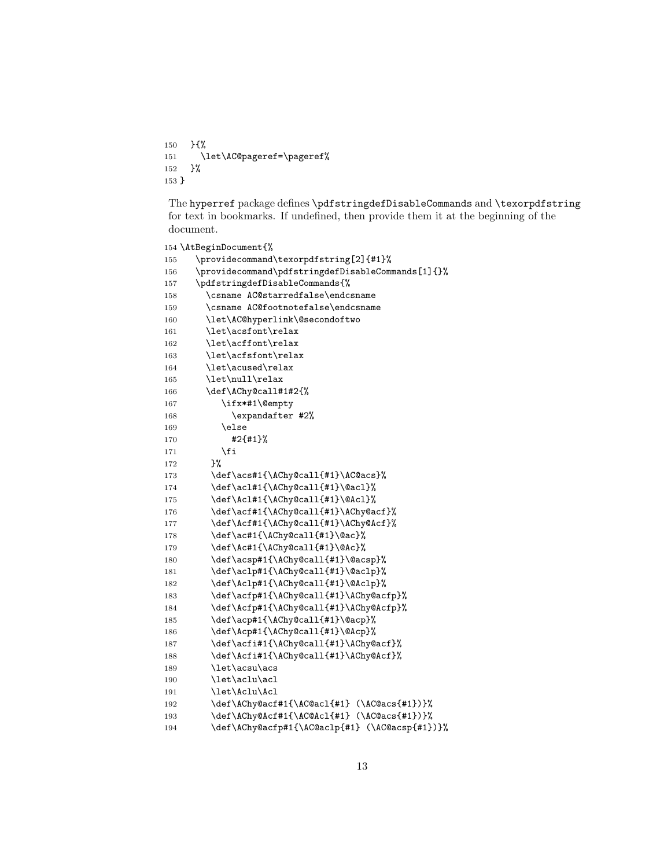150 }{% 151 \let\AC@pageref=\pageref% 152 }% 153 }

The hyperref package defines \pdfstringdefDisableCommands and \texorpdfstring for text in bookmarks. If undefined, then provide them it at the beginning of the document.

```
154 \AtBeginDocument{%
155 \providecommand\texorpdfstring[2]{#1}%
156 \providecommand\pdfstringdefDisableCommands[1]{}%
157 \pdfstringdefDisableCommands{%
158 \csname AC@starredfalse\endcsname
159 \csname AC@footnotefalse\endcsname
160 \let\AC@hyperlink\@secondoftwo
161 \let\acsfont\relax
162 \let\acffont\relax
163 \let\acfsfont\relax
164 \let\acused\relax
165 \let\null\relax
166 \def\AChy@call#1#2{%
167 \ifx*#1\@empty
168 \expandafter #2%
169 \else
170 #2{#1}%
171 \fi
172 }%
173 \def\acs#1{\AChy@call{#1}\AC@acs}%
174 \def\acl#1{\AChy@call{#1}\@acl}%
175 \def\Acl#1{\AChy@call{#1}\@Acl}%
176 \def\acf#1{\AChy@call{#1}\AChy@acf}%
177 \def\Acf#1{\AChy@call{#1}\AChy@Acf}%
178 \def\ac#1{\AChy@call{#1}\@ac}%
179 \def\Ac#1{\AChy@call{#1}\@Ac}%
180 \def\acsp#1{\AChy@call{#1}\@acsp}%
181 \def\aclp#1{\AChy@call{#1}\@aclp}%
182 \def\Aclp#1{\AChy@call{#1}\@Aclp}%
183 \def\acfp#1{\AChy@call{#1}\AChy@acfp}%
184 \def\Acfp#1{\AChy@call{#1}\AChy@Acfp}%
185 \def\acp#1{\AChy@call{#1}\@acp}%
186 \def\Acp#1{\AChy@call{#1}\@Acp}%
187 \def\acfi#1{\AChy@call{#1}\AChy@acf}%
188 \def\Acfi#1{\AChy@call{#1}\AChy@Acf}%
189 \let\acsu\acs
190 \let\aclu\acl
191 \let\Aclu\Acl
192 \def\AChy@acf#1{\AC@acl{#1} (\AC@acs{#1})}%
193 \def\AChy@Acf#1{\AC@Acl{#1} (\AC@acs{#1})}%
194 \def\AChy@acfp#1{\AC@aclp{#1} (\AC@acsp{#1})}%
```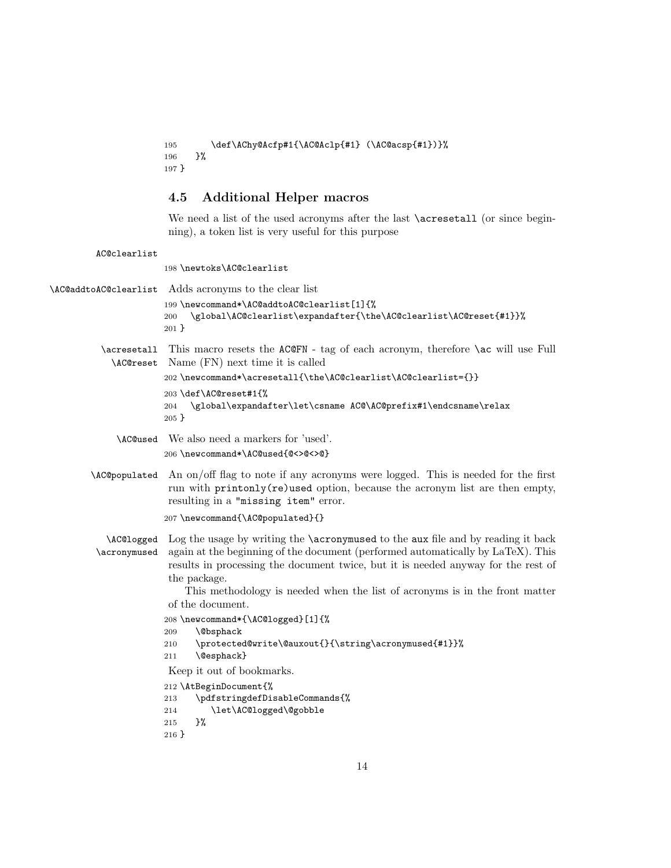```
195 \def\AChy@Acfp#1{\AC@Aclp{#1} (\AC@acsp{#1})}%
196 }%
197 }
```
# 4.5 Additional Helper macros

We need a list of the used acronyms after the last **\acressetall** (or since beginning), a token list is very useful for this purpose

AC@clearlist

198 \newtoks\AC@clearlist

\AC@addtoAC@clearlist Adds acronyms to the clear list 199 \newcommand\*\AC@addtoAC@clearlist[1]{% 200 \global\AC@clearlist\expandafter{\the\AC@clearlist\AC@reset{#1}}% 201 } \acresetall This macro resets the AC@FN - tag of each acronym, therefore \ac will use Full \AC@reset Name (FN) next time it is called 202 \newcommand\*\acresetall{\the\AC@clearlist\AC@clearlist={}} 203 \def\AC@reset#1{% 204 \global\expandafter\let\csname AC@\AC@prefix#1\endcsname\relax 205 } \AC@used We also need a markers for 'used'. 206 \newcommand\*\AC@used{@<>@<>@} \AC@populated An on/off flag to note if any acronyms were logged. This is needed for the first run with printonly(re)used option, because the acronym list are then empty, resulting in a "missing item" error. 207 \newcommand{\AC@populated}{} \AC@logged Log the usage by writing the \acronymused to the aux file and by reading it back \acronymused again at the beginning of the document (performed automatically by LaTeX). This results in processing the document twice, but it is needed anyway for the rest of the package. This methodology is needed when the list of acronyms is in the front matter of the document. 208 \newcommand\*{\AC@logged}[1]{% 209 \@bsphack 210 \protected@write\@auxout{}{\string\acronymused{#1}}% 211 \@esphack} Keep it out of bookmarks. 212 \AtBeginDocument{% 213 \pdfstringdefDisableCommands{% 214 \let\AC@logged\@gobble 215 }% 216 }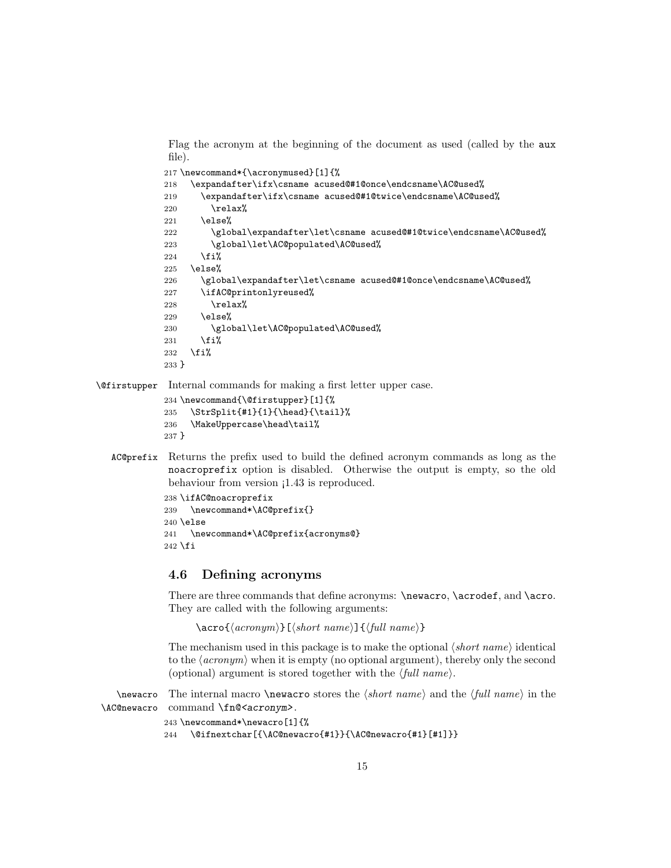Flag the acronym at the beginning of the document as used (called by the aux file).

```
217 \newcommand*{\acronymused}[1]{%
218 \expandafter\ifx\csname acused@#1@once\endcsname\AC@used%
219 \expandafter\ifx\csname acused@#1@twice\endcsname\AC@used%
220 \relax%
221 \else%
222 \global\expandafter\let\csname acused@#1@twice\endcsname\AC@used%
223 \global\let\AC@populated\AC@used%
224 \overrightarrow{1}225 \else%
226 \global\expandafter\let\csname acused@#1@once\endcsname\AC@used%
227 \ifAC@printonlyreused%
228 \relax%
229 \else%
230 \global\let\AC@populated\AC@used%
231 \overline{\text{if}'}232 \overline{\text{if}}233 }
```
\@firstupper Internal commands for making a first letter upper case.

```
234 \newcommand{\@firstupper}[1]{%
235 \StrSplit{#1}{1}{\head}{\tail}%
236 \MakeUppercase\head\tail%
237 }
```
AC@prefix Returns the prefix used to build the defined acronym commands as long as the noacroprefix option is disabled. Otherwise the output is empty, so the old behaviour from version  $1.43$  is reproduced.

```
238 \ifAC@noacroprefix
239 \newcommand*\AC@prefix{}
240 \else
241 \newcommand*\AC@prefix{acronyms@}
242 \fi
```
# 4.6 Defining acronyms

There are three commands that define acronyms: \newacro, \acrodef, and \acro. They are called with the following arguments:

```
\text{arco}\{\langle \text{acronym} \rangle\} [\langle \text{short name} \rangle] \{\langle \text{full name} \rangle\}
```
The mechanism used in this package is to make the optional  $\langle short\ name \rangle$  identical to the  $\langle \text{arrows} \rangle$  when it is empty (no optional argument), thereby only the second (optional) argument is stored together with the  $\langle full\ name \rangle$ .

\newacro The internal macro \newacro stores the  $\langle short \ name \rangle$  and the  $\langle full \ name \rangle$  in the \AC@newacro command \fn@<acronym>.

```
243 \newcommand*\newacro[1]{%
```

```
244 \@ifnextchar[{\AC@newacro{#1}}{\AC@newacro{#1}[#1]}}
```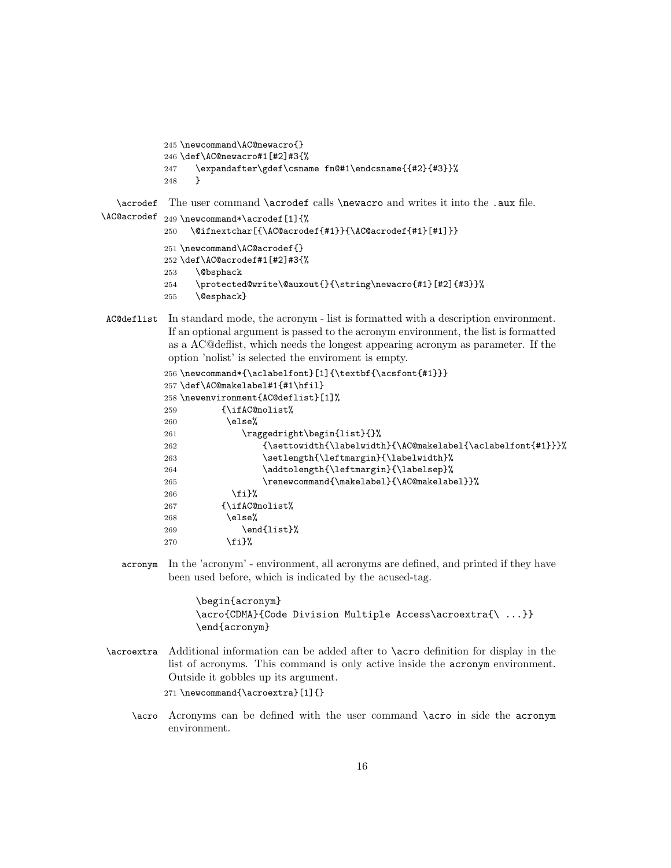```
245 \newcommand\AC@newacro{}
           246 \def\AC@newacro#1[#2]#3{%
           247 \expandafter\gdef\csname fn@#1\endcsname{{#2}{#3}}%
           248 }
   \acrodef
The user command \acrodef calls \newacro and writes it into the .aux file.
\AC@acrodef 249\newcommand*\acrodef[1]{%
           250 \@ifnextchar[{\AC@acrodef{#1}}{\AC@acrodef{#1}[#1]}}
```

```
251 \newcommand\AC@acrodef{}
252 \def\AC@acrodef#1[#2]#3{%
253 \@bsphack
254 \protected@write\@auxout{}{\string\newacro{#1}[#2]{#3}}%
255 \@esphack}
```

```
AC@deflist In standard mode, the acronym - list is formatted with a description environment.
             If an optional argument is passed to the acronym environment, the list is formatted
             as a AC@deflist, which needs the longest appearing acronym as parameter. If the
             option 'nolist' is selected the enviroment is empty.
```

```
256 \newcommand*{\aclabelfont}[1]{\textbf{\acsfont{#1}}}
257 \def\AC@makelabel#1{#1\hfil}
258 \newenvironment{AC@deflist}[1]%
259 {\ifAC@nolist%
260 \else%
261 \raggedright\begin{list}{}%
262 {\settowidth{\labelwidth}{\AC@makelabel{\aclabelfont{#1}}}%
263 \setlength{\leftmargin}{\labelwidth}%
264 \ddtolength{\leftmargin}{\labelsep}%
265 \renewcommand{\makelabel}{\AC@makelabel}}%
266 \fi}%
267 {\ifAC@nolist%
268 \else%
269 \end{list}%
270 \{f_i\}%
```
acronym In the 'acronym' - environment, all acronyms are defined, and printed if they have been used before, which is indicated by the acused-tag.

> \begin{acronym} \acro{CDMA}{Code Division Multiple Access\acroextra{\ ...}} \end{acronym}

\acroextra Additional information can be added after to \acro definition for display in the list of acronyms. This command is only active inside the acronym environment. Outside it gobbles up its argument.

271 \newcommand{\acroextra}[1]{}

\acro Acronyms can be defined with the user command \acro in side the acronym environment.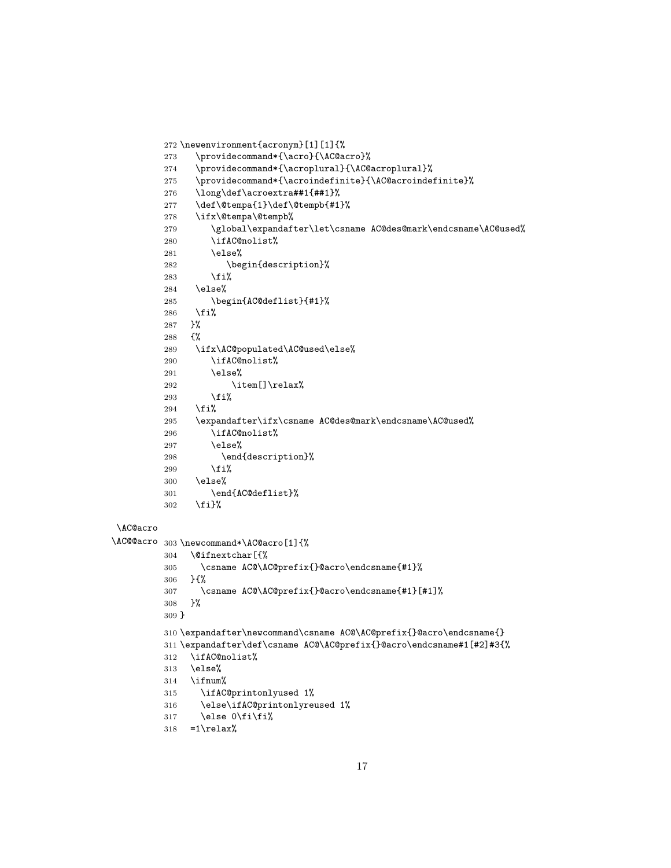```
272 \newenvironment{acronym}[1][1]{%
         273 \providecommand*{\acro}{\AC@acro}%
         274 \providecommand*{\acroplural}{\AC@acroplural}%
         {\bf \texttt{275}} \begin{equation} {\texttt{1} \texttt{275}} \end{equation}276 \long\def\acroextra##1{##1}%
         277 \def\@tempa{1}\def\@tempb{#1}%
         278 \ifx\@tempa\@tempb%
         279 \global\expandafter\let\csname AC@des@mark\endcsname\AC@used%
         280 \ifAC@nolist%
         281 \else%
         282 \begin{description}%
         283 \overrightarrow{1}284 \else%
         285 \begin{AC@deflist}{#1}%
         286 \fi%
         287 }%<br>288 {%
         288
         289 \ifx\AC@populated\AC@used\else%
         290 \ifAC@nolist%
         291 \else%
         292 \item[]\relax%
         293 \overrightarrow{1}294 \{f_i\}295 \expandafter\ifx\csname AC@des@mark\endcsname\AC@used%
         296 \ifAC@nolist%
         297 \else%
         298 \end{description}%
         299 \overrightarrow{1}300 \else%
         301 \end{AC@deflist}%
         302 \fi}%
\AC@acro
\AC@@acro 303 \newcommand*\AC@acro[1]{%
         304 \@ifnextchar[{%
         305 \csname AC@\AC@prefix{}@acro\endcsname{#1}%
         306 }{%
         307 \csname AC@\AC@prefix{}@acro\endcsname{#1}[#1]%
         308 }%
         309 }
         310 \expandafter\newcommand\csname AC@\AC@prefix{}@acro\endcsname{}
         311 \expandafter\def\csname AC@\AC@prefix{}@acro\endcsname#1[#2]#3{%
         312 \ifAC@nolist%
         313 \else%
         314 \ifnum%
         315 \ifAC@printonlyused 1%
         316 \else\ifAC@printonlyreused 1%
         317 \else 0\fi\fi%
         318 = 1\relax\%
```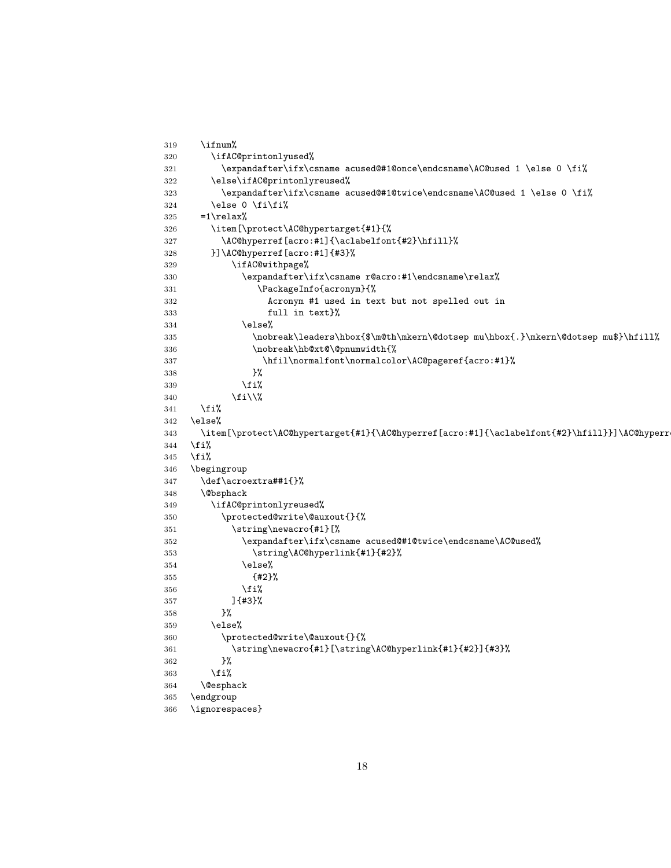```
319 \ifnum%
320 \ifAC@printonlyused%
321 \expandafter\ifx\csname acused@#1@once\endcsname\AC@used 1 \else 0 \fi%
322 \else\ifAC@printonlyreused%
323 \expandafter\ifx\csname acused@#1@twice\endcsname\AC@used 1 \else 0 \fi%
324 \else 0 \fi\fi%
325 =1\relax\%326 \item[\protect\AC@hypertarget{#1}{%
327 \AC@hyperref[acro:#1]{\aclabelfont{#2}\hfill}%
328 }]\AC@hyperref[acro:#1]{#3}%
329 \ifAC@withpage%
330 \expandafter\ifx\csname r@acro:#1\endcsname\relax%
331 \PackageInfo{acronym}{%
332 Acronym #1 used in text but not spelled out in
333 full in text}%
334 \text{e} \text{se}%
335 \nobreak\leaders\hbox{$\m@th\mkern\@dotsep mu\hbox{.}\mkern\@dotsep mu$}\hfill%
336 \nobreak\hb@xt@\@pnumwidth{%
337 \hfil\normalfont\normalcolor\AC@pageref{acro:#1}%
338 }%
339 \quad \text{ifi}340 \fi\\%
341 \overrightarrow{fi}342 \else%
343 \item[\protect\AC@hypertarget{#1}{\AC@hyperref[acro:#1]{\aclabelfont{#2}\hfill}}]\AC@hyperr
344 \overline{\text{f}i\text{}}345 \fi%
346 \begingroup
347 \def\acroextra##1{}%
348 \@bsphack
349 \ifAC@printonlyreused%
350 \protected@write\@auxout{}{%
351 \string\newacro{#1}[%
352 \expandafter\ifx\csname acused@#1@twice\endcsname\AC@used%
353 \string\AC@hyperlink{#1}{#2}%
354 \else%
355 {#2}%
356 \fi%
357 ]{#3}%
358 }%
359 \else%
360 \protected@write\@auxout{}{%
361 \string\newacro{#1}[\string\AC@hyperlink{#1}{#2}]{#3}%
362 }%
363 \overrightarrow{fi}364 \@esphack
365 \endgroup
366 \ignorespaces}
```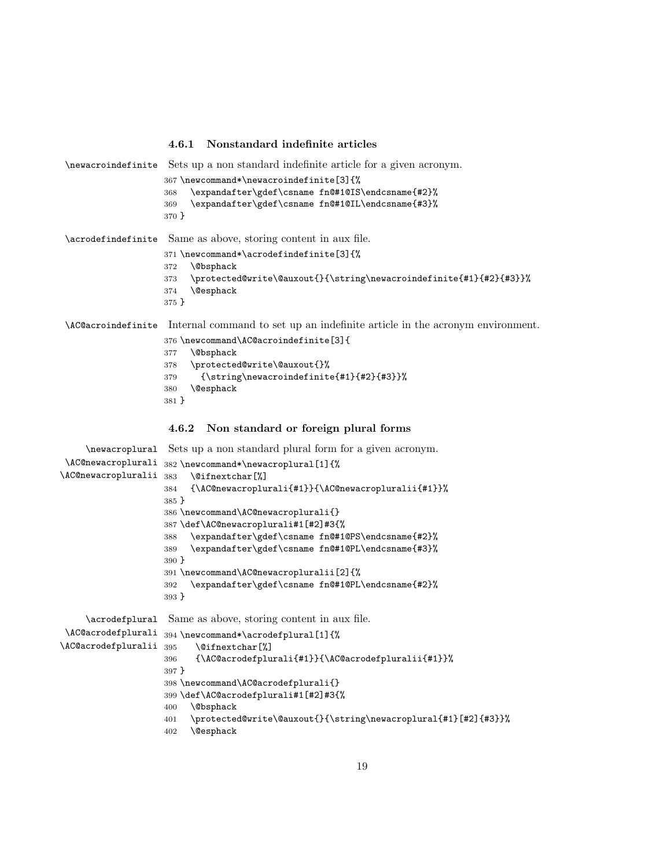#### 4.6.1 Nonstandard indefinite articles

\newacroindefinite Sets up a non standard indefinite article for a given acronym. \newcommand\*\newacroindefinite[3]{% \expandafter\gdef\csname fn@#1@IS\endcsname{#2}% \expandafter\gdef\csname fn@#1@IL\endcsname{#3}% } \acrodefindefinite Same as above, storing content in aux file. \newcommand\*\acrodefindefinite[3]{% \@bsphack \protected@write\@auxout{}{\string\newacroindefinite{#1}{#2}{#3}}% \@esphack } \AC@acroindefinite Internal command to set up an indefinite article in the acronym environment. \newcommand\AC@acroindefinite[3]{ \@bsphack \protected@write\@auxout{}% {\string\newacroindefinite{#1}{#2}{#3}}% \@esphack }

## 4.6.2 Non standard or foreign plural forms

```
\newacroplural
\AC@newacroplurali
\AC@newacropluralii
                    Sets up a non standard plural form for a given acronym.
                    382 \newcommand*\newacroplural[1]{%
                         \@ifnextchar[%]
                    384 {\AC@newacroplurali{#1}}{\AC@newacropluralii{#1}}%
                    385 }
                    386 \newcommand\AC@newacroplurali{}
                    387 \def\AC@newacroplurali#1[#2]#3{%
                    388 \expandafter\gdef\csname fn@#1@PS\endcsname{#2}%
                    389 \expandafter\gdef\csname fn@#1@PL\endcsname{#3}%
                    390 }
                    391 \newcommand\AC@newacropluralii[2]{%
                    392 \expandafter\gdef\csname fn@#1@PL\endcsname{#2}%
                    393 }
     \acrodefplural
Same as above, storing content in aux file.
 \AC@acrodefplurali
394 \newcommand*\acrodefplural[1]{%
\AC@acrodefpluralii
                          \@ifnextchar[%]
                    396 {\AC@acrodefplurali{#1}}{\AC@acrodefpluralii{#1}}%
                    397 }
                    398 \newcommand\AC@acrodefplurali{}
                    399 \def\AC@acrodefplurali#1[#2]#3{%
                    400 \@bsphack
                    401 \protected@write\@auxout{}{\string\newacroplural{#1}[#2]{#3}}%
                    402 \@esphack
```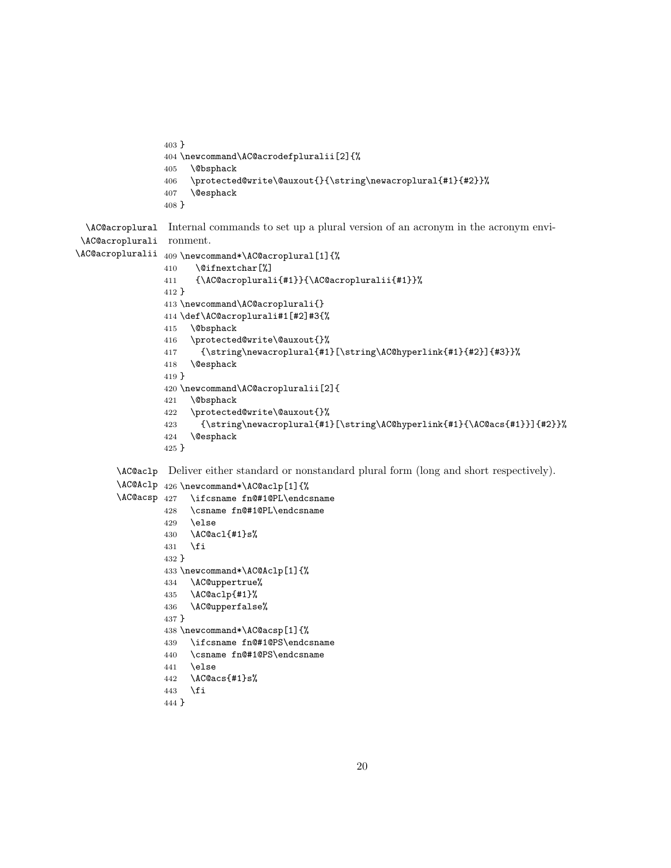```
403 }
404 \newcommand\AC@acrodefpluralii[2]{%
405 \@bsphack
406 \protected@write\@auxout{}{\string\newacroplural{#1}{#2}}%
407 \@esphack
408 }
```
\AC@acroplural Internal commands to set up a plural version of an acronym in the acronym envi-\AC@acroplurali ronment.

```
\AC@acropluralii
409 \newcommand*\AC@acroplural[1]{%
                410 \@ifnextchar[%]
                411 {\AC@acroplurali{#1}}{\AC@acropluralii{#1}}%
                412 }
                413 \newcommand\AC@acroplurali{}
                414 \def\AC@acroplurali#1[#2]#3{%
                415 \@bsphack
                416 \protected@write\@auxout{}%
                417 {\string\newacroplural{#1}[\string\AC@hyperlink{#1}{#2}]{#3}}%
                418 \@esphack
                419 }
                420 \newcommand\AC@acropluralii[2]{
                421 \@bsphack
                422 \protected@write\@auxout{}%
                423 {\string\newacroplural{#1}[\string\AC@hyperlink{#1}{\AC@acs{#1}}]{#2}}%
                424 \@esphack
                425 }
        \AC@aclp
Deliver either standard or nonstandard plural form (long and short respectively).
        \AC@Aclp
426 \newcommand*\AC@aclp[1]{%
       \AC@acsp
                     \ifcsname fn@#1@PL\endcsname
```

```
428 \csname fn@#1@PL\endcsname
429 \else
430 \AC@acl{#1}s%
431 \fi
432 }
433 \newcommand*\AC@Aclp[1]{%
434 \AC@uppertrue%
435 \AC@aclp{#1}%
436 \AC@upperfalse%
437 }
438 \newcommand*\AC@acsp[1]{%
439 \ifcsname fn@#1@PS\endcsname
440 \csname fn@#1@PS\endcsname
441 \else
442 \AC@acs{#1}s%
443 \fi
```

```
444 }
```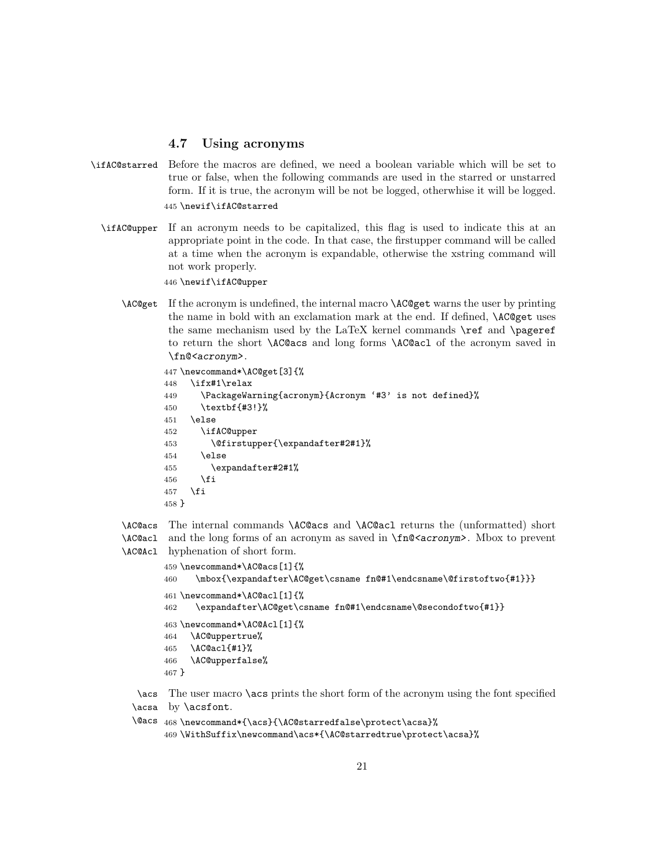### 4.7 Using acronyms

- \ifAC@starred Before the macros are defined, we need a boolean variable which will be set to true or false, when the following commands are used in the starred or unstarred form. If it is true, the acronym will be not be logged, otherwhise it will be logged. 445 \newif\ifAC@starred
	- \ifAC@upper If an acronym needs to be capitalized, this flag is used to indicate this at an appropriate point in the code. In that case, the firstupper command will be called at a time when the acronym is expandable, otherwise the xstring command will not work properly.

446 \newif\ifAC@upper

\AC@get If the acronym is undefined, the internal macro \AC@get warns the user by printing the name in bold with an exclamation mark at the end. If defined, \AC@get uses the same mechanism used by the LaTeX kernel commands \ref and \pageref to return the short \AC@acs and long forms \AC@acl of the acronym saved in \fn@<acronym>.

```
447 \newcommand*\AC@get[3]{%
448 \ifx#1\relax
449 \PackageWarning{acronym}{Acronym '#3' is not defined}%
450 \textbf{#3!}%
451 \else
452 \ifAC@upper
453 \@firstupper{\expandafter#2#1}%
454 \else
455 \expandafter#2#1%
456 \fi
457 \fi
458 }
```


```
459 \newcommand*\AC@acs[1]{%
460 \mbox{\expandafter\AC@get\csname fn@#1\endcsname\@firstoftwo{#1}}}
461 \newcommand*\AC@acl[1]{%
462 \expandafter\AC@get\csname fn@#1\endcsname\@secondoftwo{#1}}
463 \newcommand*\AC@Acl[1]{%
464 \AC@uppertrue%
465 \AC@acl{#1}%
466 \AC@upperfalse%
467 }
```
\acs The user macro \acs prints the short form of the acronym using the font specified \acsa by \acsfont.

\@acs 468 \newcommand\*{\acs}{\AC@starredfalse\protect\acsa}% 469 \WithSuffix\newcommand\acs\*{\AC@starredtrue\protect\acsa}%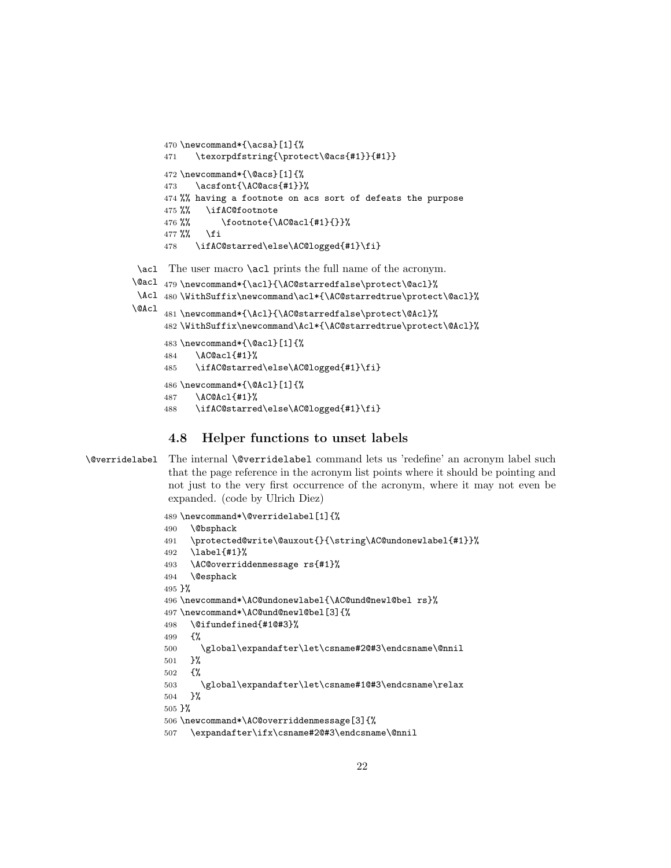```
470 \newcommand*{\acsa}[1]{%
471 \texorpdfstring{\protect\@acs{#1}}{#1}}
472 \newcommand*{\@acs}[1]{%
473 \acsfont{\AC@acs{#1}}%
474 %% having a footnote on acs sort of defeats the purpose
475 %% \ifAC@footnote
476 %% \footnote{\AC@acl{#1}{}}%
477 %% \fi
478 \ifAC@starred\else\AC@logged{#1}\fi}
```
\acl The user macro \acl prints the full name of the acronym.

```
\@acl
479 \newcommand*{\acl}{\AC@starredfalse\protect\@acl}%
 \Acl 480\WithSuffix\newcommand\acl*{\AC@starredtrue\protect\@acl}%
\@Acl
      481 \newcommand*{\Acl}{\AC@starredfalse\protect\@Acl}%
      482 \WithSuffix\newcommand\Acl*{\AC@starredtrue\protect\@Acl}%
      483 \newcommand*{\@acl}[1]{%
      484 \AC@acl{#1}%
      485 \ifAC@starred\else\AC@logged{#1}\fi}
      486 \newcommand*{\@Acl}[1]{%
      487 \AC@Acl{#1}%
      488 \ifAC@starred\else\AC@logged{#1}\fi}
```
## 4.8 Helper functions to unset labels

\@verridelabel The internal \@verridelabel command lets us 'redefine' an acronym label such that the page reference in the acronym list points where it should be pointing and not just to the very first occurrence of the acronym, where it may not even be expanded. (code by Ulrich Diez)

```
489 \newcommand*\@verridelabel[1]{%
490 \@bsphack
491 \protected@write\@auxout{}{\string\AC@undonewlabel{#1}}%
492 \label{#1}%
493 \AC@overriddenmessage rs{#1}%
494 \@esphack
495 }%
496 \newcommand*\AC@undonewlabel{\AC@und@newl@bel rs}%
497 \newcommand*\AC@und@newl@bel[3]{%
498 \@ifundefined{#1@#3}%
499 {%
500 \global\expandafter\let\csname#2@#3\endcsname\@nnil
501 }%
502 {%
503 \global\expandafter\let\csname#1@#3\endcsname\relax
504 }%
505 }%
506 \newcommand*\AC@overriddenmessage[3]{%
507 \expandafter\ifx\csname#2@#3\endcsname\@nnil
```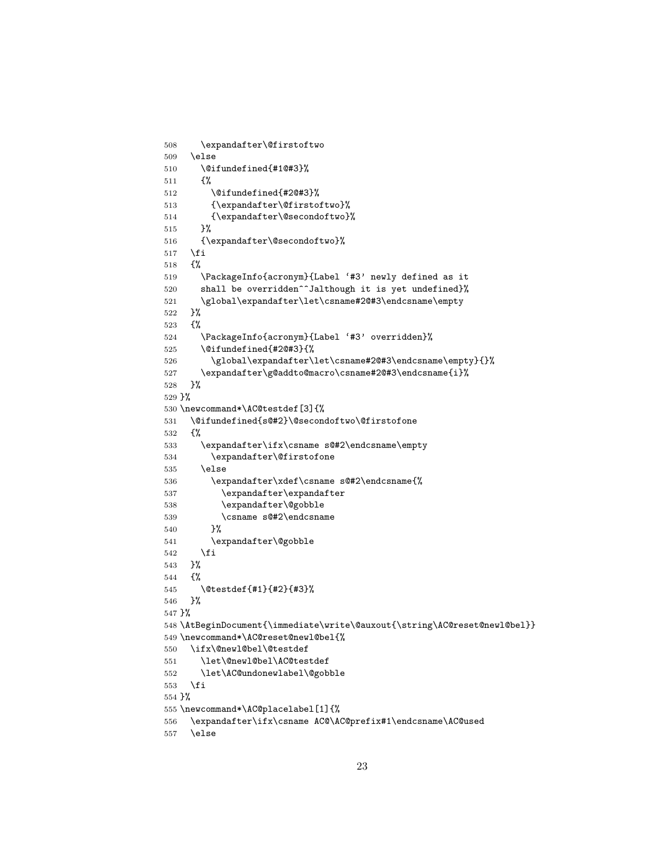```
508 \expandafter\@firstoftwo
509 \else
510 \@ifundefined{#1@#3}%
511 {%
512 \@ifundefined{#2@#3}%
513 {\expandafter\@firstoftwo}%
514 {\expandafter\@secondoftwo}%
515 }%
516 {\expandafter\@secondoftwo}%
517 \fi
518 {%
519 \PackageInfo{acronym}{Label '#3' newly defined as it
520 shall be overridden<sup>^^</sup>Jalthough it is yet undefined}%
521 \global\expandafter\let\csname#2@#3\endcsname\empty
522 }%
523 {%
524 \PackageInfo{acronym}{Label '#3' overridden}%
525 \@ifundefined{#2@#3}{%
526 \global\expandafter\let\csname#2@#3\endcsname\empty}{}%
527 \expandafter\g@addto@macro\csname#2@#3\endcsname{i}%
528 }%
529 }%
530 \newcommand*\AC@testdef[3]{%
531 \@ifundefined{s@#2}\@secondoftwo\@firstofone
532 {%
533 \expandafter\ifx\csname s@#2\endcsname\empty
534 \expandafter\@firstofone
535 \else
536 \expandafter\xdef\csname s@#2\endcsname{%
537 \expandafter\expandafter
538 \expandafter\@gobble
539 \csname s@#2\endcsname
540 }%
541 \expandafter\@gobble
542 \fi
543 }%
544 {%
545 \@testdef{#1}{#2}{#3}%
546 }%
547 }%
548 \AtBeginDocument{\immediate\write\@auxout{\string\AC@reset@newl@bel}}
549 \newcommand*\AC@reset@newl@bel{%
550 \ifx\@newl@bel\@testdef
551 \let\@newl@bel\AC@testdef
552 \let\AC@undonewlabel\@gobble
553 \fi
554 }%
555 \newcommand*\AC@placelabel[1]{%
556 \expandafter\ifx\csname AC@\AC@prefix#1\endcsname\AC@used
557 \else
```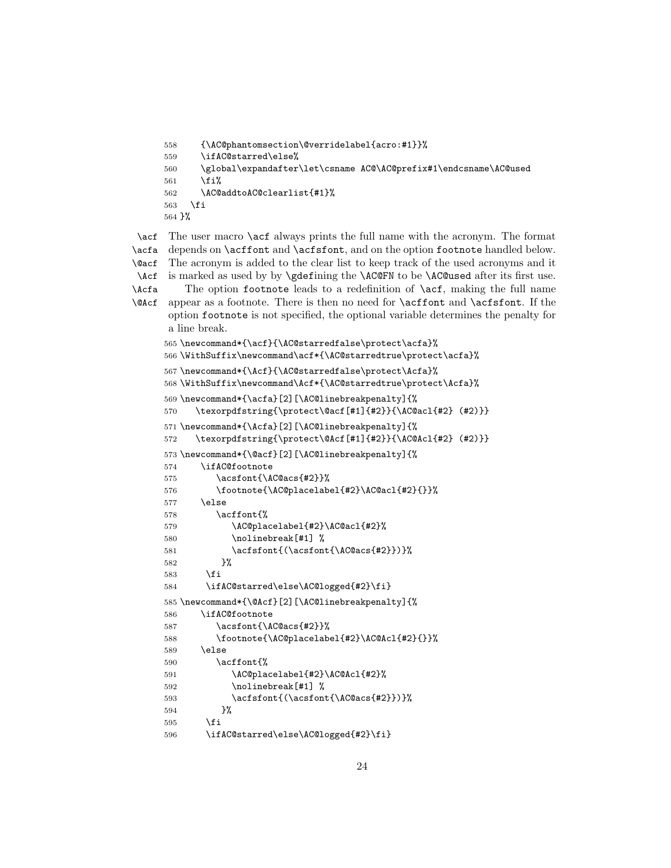```
558 {\AC@phantomsection\@verridelabel{acro:#1}}%
559 \ifAC@starred\else%
560 \global\expandafter\let\csname AC@\AC@prefix#1\endcsname\AC@used
561 \quad \forall \texttt{fil}562 \AC@addtoAC@clearlist{#1}%
563 \fi
564 }%
```
\acf \acfa \@acf \Acf \Acfa \@Acf The user macro **\acf** always prints the full name with the acronym. The format depends on \acffont and \acfsfont, and on the option footnote handled below. The acronym is added to the clear list to keep track of the used acronyms and it is marked as used by by \gdefining the \AC@FN to be \AC@used after its first use. The option footnote leads to a redefinition of **\acf**, making the full name appear as a footnote. There is then no need for \acffont and \acfsfont. If the option footnote is not specified, the optional variable determines the penalty for a line break. \newcommand\*{\acf}{\AC@starredfalse\protect\acfa}%

```
566 \WithSuffix\newcommand\acf*{\AC@starredtrue\protect\acfa}%
567 \newcommand*{\Acf}{\AC@starredfalse\protect\Acfa}%
568 \WithSuffix\newcommand\Acf*{\AC@starredtrue\protect\Acfa}%
569 \newcommand*{\acfa}[2][\AC@linebreakpenalty]{%
570 \texorpdfstring{\protect\@acf[#1]{#2}}{\AC@acl{#2} (#2)}}
571 \newcommand*{\Acfa}[2][\AC@linebreakpenalty]{%
572 \texorpdfstring{\protect\@Acf[#1]{#2}}{\AC@Acl{#2} (#2)}}
573 \newcommand*{\@acf}[2][\AC@linebreakpenalty]{%
574 \ifAC@footnote
575 \acsfont{\AC@acs{#2}}%
576 \footnote{\AC@placelabel{#2}\AC@acl{#2}{}}%
577 \else
578 \acffont{%
579 \AC@placelabel{#2}\AC@acl{#2}%
580 \nolinebreak[#1] %
581 \acfsfont{(\acsfont{\AC@acs{#2}})}%
582 }%
583 \fi
584 \ifAC@starred\else\AC@logged{#2}\fi}
585 \newcommand*{\@Acf}[2][\AC@linebreakpenalty]{%
586 \ifAC@footnote
587 \acsfont{\AC@acs{#2}}%
588 \footnote{\AC@placelabel{#2}\AC@Acl{#2}{}}%
589 \else
590 \acffont{%
591 \AC@placelabel{#2}\AC@Acl{#2}%
592 \nolinebreak[#1] %
593 \acfsfont{(\acsfont{\AC@acs{#2}})}%
594 }%
595 \overline{f}596 \ifAC@starred\else\AC@logged{#2}\fi}
```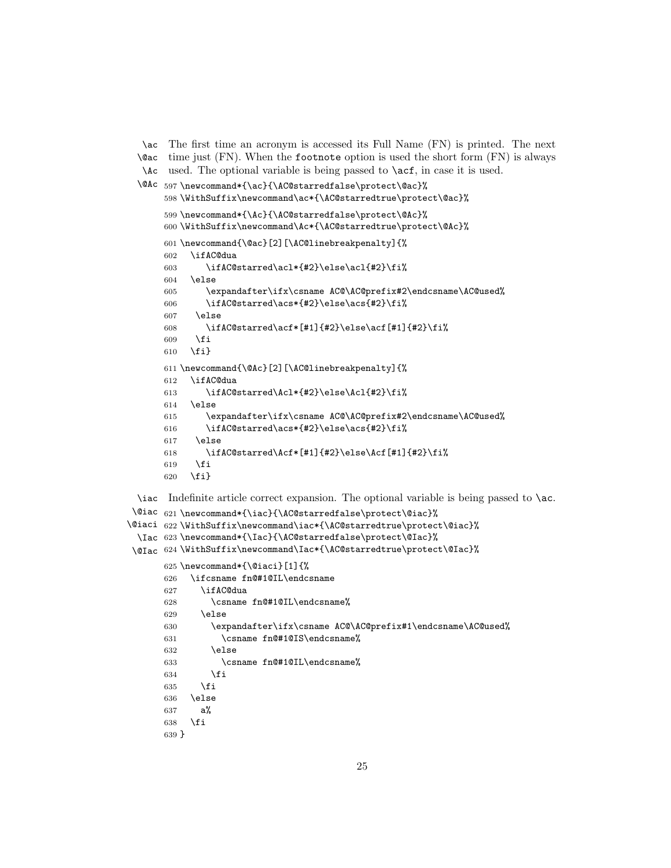```
\ac
The first time an acronym is accessed its Full Name (FN) is printed. The next
 \@ac
time just (FN). When the footnote option is used the short form (FN) is always
  \Ac
used. The optional variable is being passed to \acf, in case it is used.
 \@Ac
597 \newcommand*{\ac}{\AC@starredfalse\protect\@ac}%
      598 \WithSuffix\newcommand\ac*{\AC@starredtrue\protect\@ac}%
      599 \newcommand*{\Ac}{\AC@starredfalse\protect\@Ac}%
      600 \WithSuffix\newcommand\Ac*{\AC@starredtrue\protect\@Ac}%
      601 \newcommand{\@ac}[2][\AC@linebreakpenalty]{%
      602 \ifAC@dua
      603 \ifAC@starred\acl*{#2}\else\acl{#2}\fi%
      604 \else
      605 \expandafter\ifx\csname AC@\AC@prefix#2\endcsname\AC@used%
      606 \ifAC@starred\acs*{#2}\else\acs{#2}\fi%
      607 \else
      608 \ifAC@starred\acf*[#1]{#2}\else\acf[#1]{#2}\fi%
      609 \fi
      610 \fi}
      611 \newcommand{\@Ac}[2][\AC@linebreakpenalty]{%
      612 \ifAC@dua
      613 \ifAC@starred\Acl*{#2}\else\Acl{#2}\fi%
      614 \else
      615 \expandafter\ifx\csname AC@\AC@prefix#2\endcsname\AC@used%
      616 \ifAC@starred\acs*{#2}\else\acs{#2}\fi%
      617 \else
      618 \ifAC@starred\Acf*[#1]{#2}\else\Acf[#1]{#2}\fi%
      619 \overrightarrow{fi}620 \fi}
 \iac
Indefinite article correct expansion. The optional variable is being passed to \ac.
\@iac
621 \newcommand*{\iac}{\AC@starredfalse\protect\@iac}%
\@iaci
622 \WithSuffix\newcommand\iac*{\AC@starredtrue\protect\@iac}%
 \Iac
623 \newcommand*{\Iac}{\AC@starredfalse\protect\@Iac}%
\@Iac
624 \WithSuffix\newcommand\Iac*{\AC@starredtrue\protect\@Iac}%
      625 \newcommand*{\@iaci}[1]{%
      626 \ifcsname fn@#1@IL\endcsname
      627 \ifAC@dua
      628 \csname fn@#1@IL\endcsname%
      629 \text{delse}630 \expandafter\ifx\csname AC@\AC@prefix#1\endcsname\AC@used%
      631 \csname fn@#1@IS\endcsname%
      632 \else
      633 \csname fn@#1@IL\endcsname%
      634 \fi
      635 \fi
      636 \else
      637 a%
      638 \fi
      639 }
```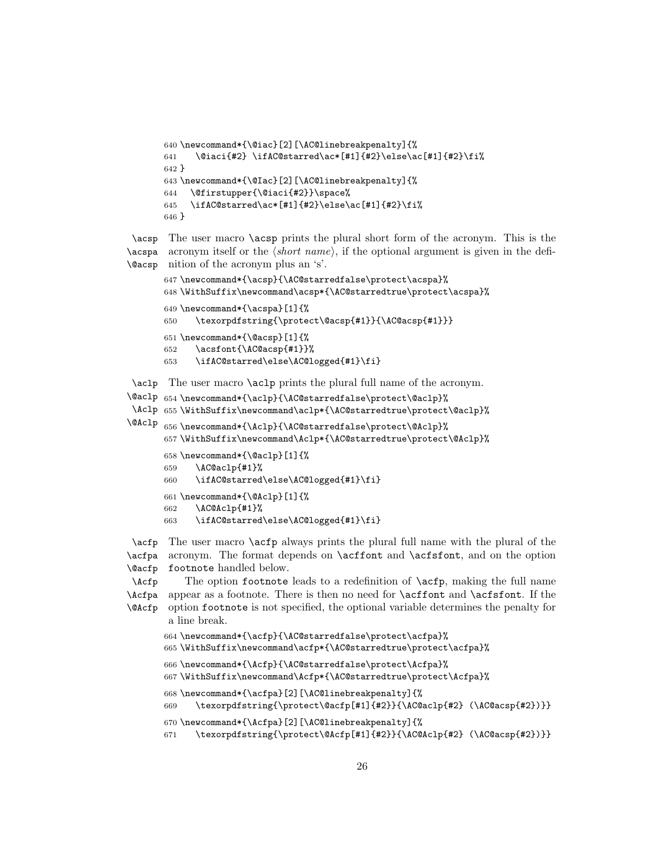```
640 \newcommand*{\@iac}[2][\AC@linebreakpenalty]{%
641 \@iaci{#2} \ifAC@starred\ac*[#1]{#2}\else\ac[#1]{#2}\fi%
642 }
643 \newcommand*{\@Iac}[2][\AC@linebreakpenalty]{%
644 \@firstupper{\@iaci{#2}}\space%
645 \ifAC@starred\ac*[#1]{#2}\else\ac[#1]{#2}\fi%
646 }
```
\acsp The user macro \acsp prints the plural short form of the acronym. This is the  $\langle \text{acspa} \rangle$  acronym itself or the  $\langle short \ name \rangle$ , if the optional argument is given in the defi-\@acsp nition of the acronym plus an 's'.

```
647 \newcommand*{\acsp}{\AC@starredfalse\protect\acspa}%
648 \WithSuffix\newcommand\acsp*{\AC@starredtrue\protect\acspa}%
649 \newcommand*{\acspa}[1]{%
650 \texorpdfstring{\protect\@acsp{#1}}{\AC@acsp{#1}}}
651 \newcommand*{\@acsp}[1]{%
652 \acsfont{\AC@acsp{#1}}%
653 \ifAC@starred\else\AC@logged{#1}\fi}
```
\aclp The user macro \aclp prints the plural full name of the acronym.

```
\@aclp
654 \newcommand*{\aclp}{\AC@starredfalse\protect\@aclp}%
 \Aclp
655 \WithSuffix\newcommand\aclp*{\AC@starredtrue\protect\@aclp}%
\@Aclp
656 \newcommand*{\Aclp}{\AC@starredfalse\protect\@Aclp}%
      657 \WithSuffix\newcommand\Aclp*{\AC@starredtrue\protect\@Aclp}%
      658 \newcommand*{\@aclp}[1]{%
      659 \AC@aclp{#1}%
      660 \ifAC@starred\else\AC@logged{#1}\fi}
      661 \newcommand*{\@Aclp}[1]{%
      662 \AC@Aclp{#1}%
      663 \ifAC@starred\else\AC@logged{#1}\fi}
```
\acfp The user macro \acfp always prints the plural full name with the plural of the \acfpa \@acfp acronym. The format depends on \acffont and \acfsfont, and on the option footnote handled below.

```
\Acfp
\Acfpa
appear as a footnote. There is then no need for \acffont and \acfsfont. If the
\@Acfp
           The option footnote leads to a redefinition of \acfp, making the full name
        option footnote is not specified, the optional variable determines the penalty for
        a line break.
```

```
664 \newcommand*{\acfp}{\AC@starredfalse\protect\acfpa}%
```

```
665 \WithSuffix\newcommand\acfp*{\AC@starredtrue\protect\acfpa}%
```

```
666 \newcommand*{\Acfp}{\AC@starredfalse\protect\Acfpa}%
```

```
667 \WithSuffix\newcommand\Acfp*{\AC@starredtrue\protect\Acfpa}%
```

```
668 \newcommand*{\acfpa}[2][\AC@linebreakpenalty]{%
```

```
669 \texorpdfstring{\protect\@acfp[#1]{#2}}{\AC@aclp{#2} (\AC@acsp{#2})}}
```

```
670 \newcommand*{\Acfpa}[2][\AC@linebreakpenalty]{%
```

```
671 \texorpdfstring{\protect\@Acfp[#1]{#2}}{\AC@Aclp{#2} (\AC@acsp{#2})}}
```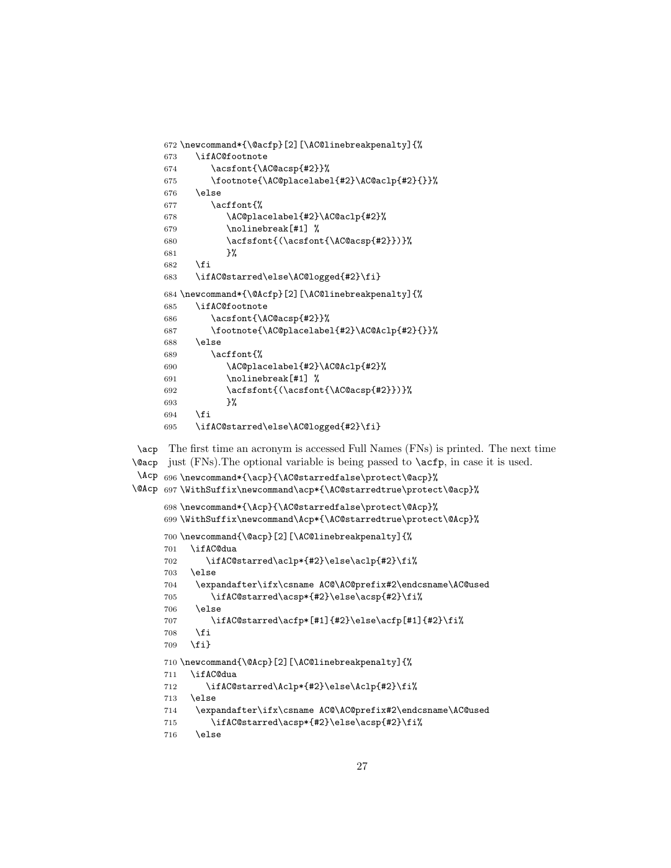```
672 \newcommand*{\@acfp}[2][\AC@linebreakpenalty]{%
673 \ifAC@footnote
674 \acsfont{\AC@acsp{#2}}%
675 \footnote{\AC@placelabel{#2}\AC@aclp{#2}{}}%
676 \else
677 \acffont{%
678 \AC@placelabel{#2}\AC@aclp{#2}%
679 \nolinebreak[#1] %
680 \acfsfont{(\acsfont{\AC@acsp{#2}})}%
681 }%
682 \fi
683 \ifAC@starred\else\AC@logged{#2}\fi}
684 \newcommand*{\@Acfp}[2][\AC@linebreakpenalty]{%
685 \ifAC@footnote
686 \acsfont{\AC@acsp{#2}}%
687 \footnote{\AC@placelabel{#2}\AC@Aclp{#2}{}}%
688 \leq \leq \leq \leq \leq \leq \leq \leq \leq \leq \leq \leq \leq \leq \leq \leq \leq \leq \leq \leq \leq \leq \leq \leq \leq \leq \leq \leq \leq \leq \leq \leq \leq \leq \leq \leq689 \acffont{%
690 \AC@placelabel{#2}\AC@Aclp{#2}%
691 \nolinebreak[#1] %
692 \acfsfont{(\acsfont{\AC@acsp{#2}})}%
693 }%
694 \overrightarrow{f}695 \ifAC@starred\else\AC@logged{#2}\fi}
```
\acp \@acp just (FNs).The optional variable is being passed to \acfp, in case it is used. The first time an acronym is accessed Full Names (FNs) is printed. The next time

```
\Acp
696 \newcommand*{\acp}{\AC@starredfalse\protect\@acp}%
\@Acp
697 \WithSuffix\newcommand\acp*{\AC@starredtrue\protect\@acp}%
     698 \newcommand*{\Acp}{\AC@starredfalse\protect\@Acp}%
     699 \WithSuffix\newcommand\Acp*{\AC@starredtrue\protect\@Acp}%
     700 \newcommand{\@acp}[2][\AC@linebreakpenalty]{%
     701 \ifAC@dua
     702 \ifAC@starred\aclp*{#2}\else\aclp{#2}\fi%
     703 \else
     704 \expandafter\ifx\csname AC@\AC@prefix#2\endcsname\AC@used
     705 \ifAC@starred\acsp*{#2}\else\acsp{#2}\fi%
     706 \else
     707 \ifAC@starred\acfp*[#1]{#2}\else\acfp[#1]{#2}\fi%
     708 \fi
     709 \fi}
     710 \newcommand{\@Acp}[2][\AC@linebreakpenalty]{%
     711 \ifAC@dua
     712 \ifAC@starred\Aclp*{#2}\else\Aclp{#2}\fi%
     713 \else
     714 \expandafter\ifx\csname AC@\AC@prefix#2\endcsname\AC@used
     715 \ifAC@starred\acsp*{#2}\else\acsp{#2}\fi%
     716 \else
```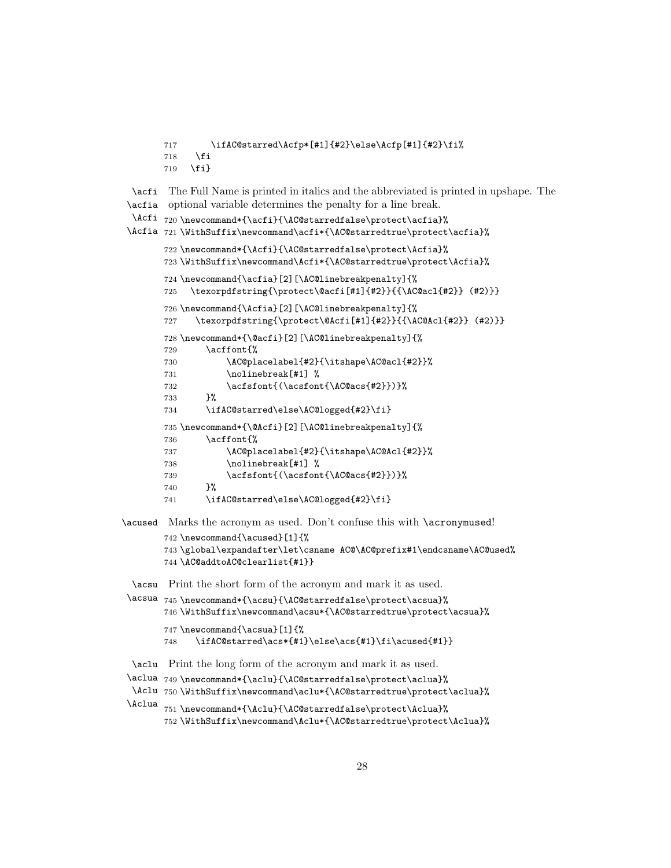```
717 \ifAC@starred\Acfp*[#1]{#2}\else\Acfp[#1]{#2}\fi%
       718 \overline{f}719 \fi}
  \acfi
The Full Name is printed in italics and the abbreviated is printed in upshape. The
 \acfia
optional variable determines the penalty for a line break.
  \Acfi
720 \newcommand*{\acfi}{\AC@starredfalse\protect\acfia}%
 \Acfia 721\WithSuffix\newcommand\acfi*{\AC@starredtrue\protect\acfia}%
       722 \newcommand*{\Acfi}{\AC@starredfalse\protect\Acfia}%
       723 \WithSuffix\newcommand\Acfi*{\AC@starredtrue\protect\Acfia}%
       724 \newcommand{\acfia}[2][\AC@linebreakpenalty]{%
       725 \texorpdfstring{\protect\@acfi[#1]{#2}}{{\AC@acl{#2}} (#2)}}
       726 \newcommand{\Acfia}[2][\AC@linebreakpenalty]{%
       727 \texorpdfstring{\protect\@Acfi[#1]{#2}}{{\AC@Acl{#2}} (#2)}}
       728 \newcommand*{\@acfi}[2][\AC@linebreakpenalty]{%
       729 \acffont{%
       730 \AC@placelabel{#2}{\itshape\AC@acl{#2}}%
       731 \nolinebreak[#1] %
       732 \acfsfont{\Acsfont{\AC@acs{#2}})}%
       733 }%
       734 \ifAC@starred\else\AC@logged{#2}\fi}
       735 \newcommand*{\@Acfi}[2][\AC@linebreakpenalty]{%
        736 \acffont{%
       737 \AC@placelabel{#2}{\itshape\AC@Acl{#2}}%
       738 \nolinebreak[#1] %
       739 \acfsfont{(\acsfont{\AC@acs{#2}})}%
       740 }%
       741 \ifAC@starred\else\AC@logged{#2}\fi}
\acused Marks the acronym as used. Don't confuse this with \acronymused!
       742 \newcommand{\acused}[1]{%
       743 \global\expandafter\let\csname AC@\AC@prefix#1\endcsname\AC@used%
       744 \AC@addtoAC@clearlist{#1}}
  \acsu
Print the short form of the acronym and mark it as used.
 \acsua 745\newcommand*{\acsu}{\AC@starredfalse\protect\acsua}%
       746 \WithSuffix\newcommand\acsu*{\AC@starredtrue\protect\acsua}%
       747 \newcommand{\acsua}[1]{%
       748 \ifAC@starred\acs*{#1}\else\acs{#1}\fi\acused{#1}}
  \aclu
Print the long form of the acronym and mark it as used.
 \aclua 749\newcommand*{\aclu}{\AC@starredfalse\protect\aclua}%
  \Aclu 750\WithSuffix\newcommand\aclu*{\AC@starredtrue\protect\aclua}%
 \Aclua
       751 \newcommand*{\Aclu}{\AC@starredfalse\protect\Aclua}%
       752 \WithSuffix\newcommand\Aclu*{\AC@starredtrue\protect\Aclua}%
```